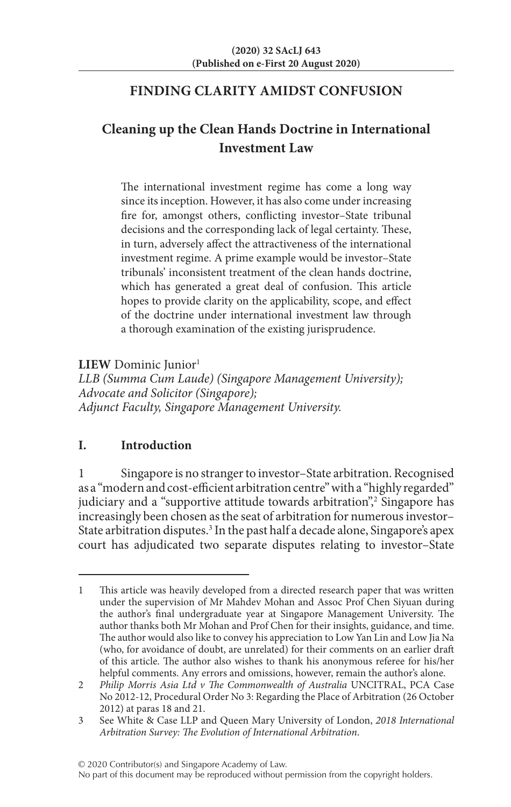# **FINDING CLARITY AMIDST CONFUSION**

# **Cleaning up the Clean Hands Doctrine in International Investment Law**

The international investment regime has come a long way since its inception. However, it has also come under increasing fire for, amongst others, conflicting investor–State tribunal decisions and the corresponding lack of legal certainty. These, in turn, adversely affect the attractiveness of the international investment regime. A prime example would be investor–State tribunals' inconsistent treatment of the clean hands doctrine, which has generated a great deal of confusion. This article hopes to provide clarity on the applicability, scope, and effect of the doctrine under international investment law through a thorough examination of the existing jurisprudence.

**LIEW** Dominic Junior<sup>1</sup>

*LLB (Summa Cum Laude) (Singapore Management University); Advocate and Solicitor (Singapore); Adjunct Faculty, Singapore Management University.*

## **I. Introduction**

Singapore is no stranger to investor–State arbitration. Recognised as a "modern and cost-efficient arbitration centre" with a "highly regarded" judiciary and a "supportive attitude towards arbitration",2 Singapore has increasingly been chosen as the seat of arbitration for numerous investor– State arbitration disputes.<sup>3</sup> In the past half a decade alone, Singapore's apex court has adjudicated two separate disputes relating to investor–State

<sup>1</sup> This article was heavily developed from a directed research paper that was written under the supervision of Mr Mahdev Mohan and Assoc Prof Chen Siyuan during the author's final undergraduate year at Singapore Management University. The author thanks both Mr Mohan and Prof Chen for their insights, guidance, and time. The author would also like to convey his appreciation to Low Yan Lin and Low Jia Na (who, for avoidance of doubt, are unrelated) for their comments on an earlier draft of this article. The author also wishes to thank his anonymous referee for his/her helpful comments. Any errors and omissions, however, remain the author's alone.

<sup>2</sup> *Philip Morris Asia Ltd v The Commonwealth of Australia* UNCITRAL, PCA Case No 2012-12, Procedural Order No 3: Regarding the Place of Arbitration (26 October 2012) at paras 18 and 21.

<sup>3</sup> See White & Case LLP and Queen Mary University of London, *2018 International Arbitration Survey: The Evolution of International Arbitration*.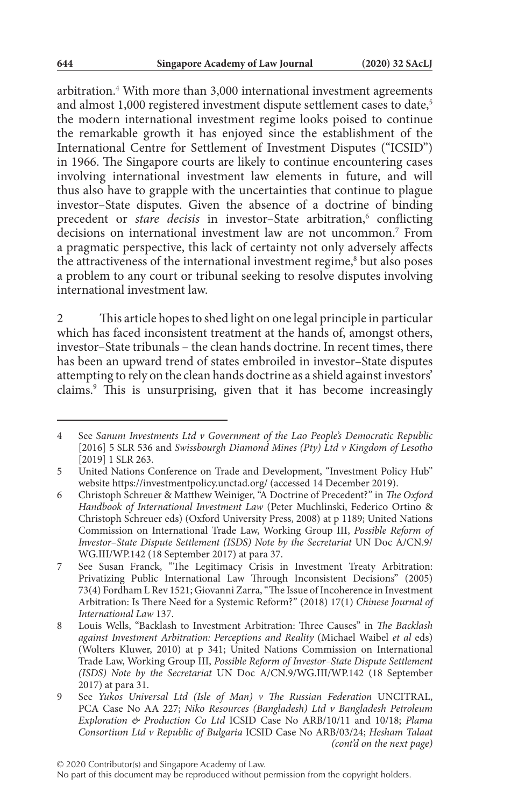arbitration.4 With more than 3,000 international investment agreements and almost 1,000 registered investment dispute settlement cases to date,<sup>5</sup> the modern international investment regime looks poised to continue the remarkable growth it has enjoyed since the establishment of the International Centre for Settlement of Investment Disputes ("ICSID") in 1966. The Singapore courts are likely to continue encountering cases involving international investment law elements in future, and will thus also have to grapple with the uncertainties that continue to plague investor–State disputes. Given the absence of a doctrine of binding precedent or *stare decisis* in investor-State arbitration,<sup>6</sup> conflicting decisions on international investment law are not uncommon.7 From a pragmatic perspective, this lack of certainty not only adversely affects the attractiveness of the international investment regime,<sup>8</sup> but also poses a problem to any court or tribunal seeking to resolve disputes involving international investment law.

2 This article hopes to shed light on one legal principle in particular which has faced inconsistent treatment at the hands of, amongst others, investor–State tribunals – the clean hands doctrine. In recent times, there has been an upward trend of states embroiled in investor–State disputes attempting to rely on the clean hands doctrine as a shield against investors' claims.9 This is unsurprising, given that it has become increasingly

<sup>4</sup> See *Sanum Investments Ltd v Government of the Lao People's Democratic Republic* [2016] 5 SLR 536 and *Swissbourgh Diamond Mines (Pty) Ltd v Kingdom of Lesotho* [2019] 1 SLR 263.

<sup>5</sup> United Nations Conference on Trade and Development, "Investment Policy Hub" website https://investmentpolicy.unctad.org/ (accessed 14 December 2019).

<sup>6</sup> Christoph Schreuer & Matthew Weiniger, "A Doctrine of Precedent?" in *The Oxford Handbook of International Investment Law* (Peter Muchlinski, Federico Ortino & Christoph Schreuer eds) (Oxford University Press, 2008) at p 1189; United Nations Commission on International Trade Law, Working Group III, *Possible Reform of Investor–State Dispute Settlement (ISDS) Note by the Secretariat* UN Doc A/CN.9/ WG.III/WP.142 (18 September 2017) at para 37.

<sup>7</sup> See Susan Franck, "The Legitimacy Crisis in Investment Treaty Arbitration: Privatizing Public International Law Through Inconsistent Decisions" (2005) 73(4) Fordham L Rev 1521; Giovanni Zarra, "The Issue of Incoherence in Investment Arbitration: Is There Need for a Systemic Reform?" (2018) 17(1) *Chinese Journal of International Law* 137.

<sup>8</sup> Louis Wells, "Backlash to Investment Arbitration: Three Causes" in *The Backlash against Investment Arbitration: Perceptions and Reality* (Michael Waibel *et al* eds) (Wolters Kluwer, 2010) at p 341; United Nations Commission on International Trade Law, Working Group III, *Possible Reform of Investor–State Dispute Settlement (ISDS) Note by the Secretariat* UN Doc A/CN.9/WG.III/WP.142 (18 September 2017) at para 31.

<sup>9</sup> See *Yukos Universal Ltd (Isle of Man) v The Russian Federation* UNCITRAL, PCA Case No AA 227; *Niko Resources (Bangladesh) Ltd v Bangladesh Petroleum Exploration & Production Co Ltd* ICSID Case No ARB/10/11 and 10/18; *Plama Consortium Ltd v Republic of Bulgaria* ICSID Case No ARB/03/24; *Hesham Talaat (cont'd on the next page)*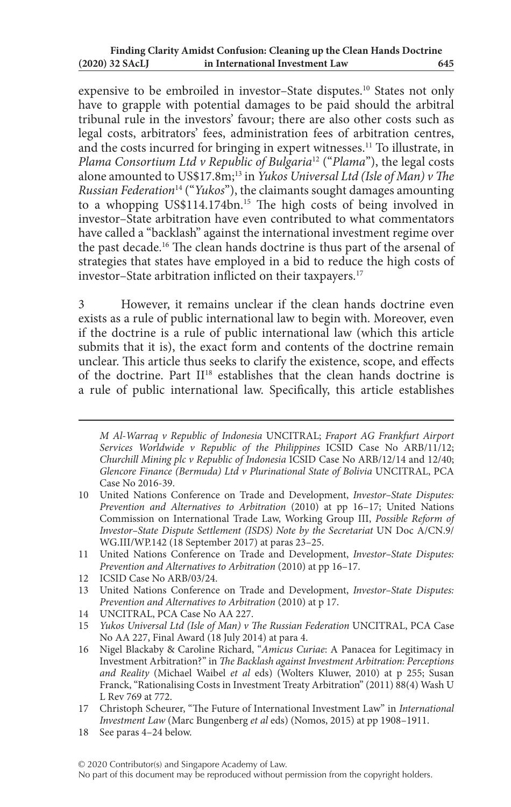expensive to be embroiled in investor-State disputes.<sup>10</sup> States not only have to grapple with potential damages to be paid should the arbitral tribunal rule in the investors' favour; there are also other costs such as legal costs, arbitrators' fees, administration fees of arbitration centres, and the costs incurred for bringing in expert witnesses.11 To illustrate, in *Plama Consortium Ltd v Republic of Bulgaria*12 ("*Plama*"), the legal costs alone amounted to US\$17.8m;<sup>13</sup> in *Yukos Universal Ltd (Isle of Man)* v The *Russian Federation*14 ("*Yukos*"), the claimants sought damages amounting to a whopping US\$114.174bn.15 The high costs of being involved in investor–State arbitration have even contributed to what commentators have called a "backlash" against the international investment regime over the past decade.<sup>16</sup> The clean hands doctrine is thus part of the arsenal of strategies that states have employed in a bid to reduce the high costs of investor-State arbitration inflicted on their taxpayers.<sup>17</sup>

3 However, it remains unclear if the clean hands doctrine even exists as a rule of public international law to begin with. Moreover, even if the doctrine is a rule of public international law (which this article submits that it is), the exact form and contents of the doctrine remain unclear. This article thus seeks to clarify the existence, scope, and effects of the doctrine. Part II18 establishes that the clean hands doctrine is a rule of public international law. Specifically, this article establishes

- 11 United Nations Conference on Trade and Development, *Investor–State Disputes: Prevention and Alternatives to Arbitration* (2010) at pp 16–17.
- 12 ICSID Case No ARB/03/24.
- 13 United Nations Conference on Trade and Development, *Investor–State Disputes: Prevention and Alternatives to Arbitration* (2010) at p 17.
- 14 UNCITRAL, PCA Case No AA 227.
- 15 *Yukos Universal Ltd (Isle of Man) v The Russian Federation* UNCITRAL, PCA Case No AA 227, Final Award (18 July 2014) at para 4.
- 16 Nigel Blackaby & Caroline Richard, "*Amicus Curiae*: A Panacea for Legitimacy in Investment Arbitration?" in *The Backlash against Investment Arbitration: Perceptions and Reality* (Michael Waibel *et al* eds) (Wolters Kluwer, 2010) at p 255; Susan Franck, "Rationalising Costs in Investment Treaty Arbitration" (2011) 88(4) Wash U L Rev 769 at 772.
- 17 Christoph Scheurer, "The Future of International Investment Law" in *International Investment Law* (Marc Bungenberg *et al* eds) (Nomos, 2015) at pp 1908–1911.
- 18 See paras 4–24 below.

*M Al-Warraq v Republic of Indonesia* UNCITRAL; *Fraport AG Frankfurt Airport Services Worldwide v Republic of the Philippines* ICSID Case No ARB/11/12; *Churchill Mining plc v Republic of Indonesia* ICSID Case No ARB/12/14 and 12/40; *Glencore Finance (Bermuda) Ltd v Plurinational State of Bolivia* UNCITRAL, PCA Case No 2016-39.

<sup>10</sup> United Nations Conference on Trade and Development, *Investor–State Disputes: Prevention and Alternatives to Arbitration* (2010) at pp 16–17; United Nations Commission on International Trade Law, Working Group III, *Possible Reform of Investor–State Dispute Settlement (ISDS) Note by the Secretariat* UN Doc A/CN.9/ WG.III/WP.142 (18 September 2017) at paras 23–25.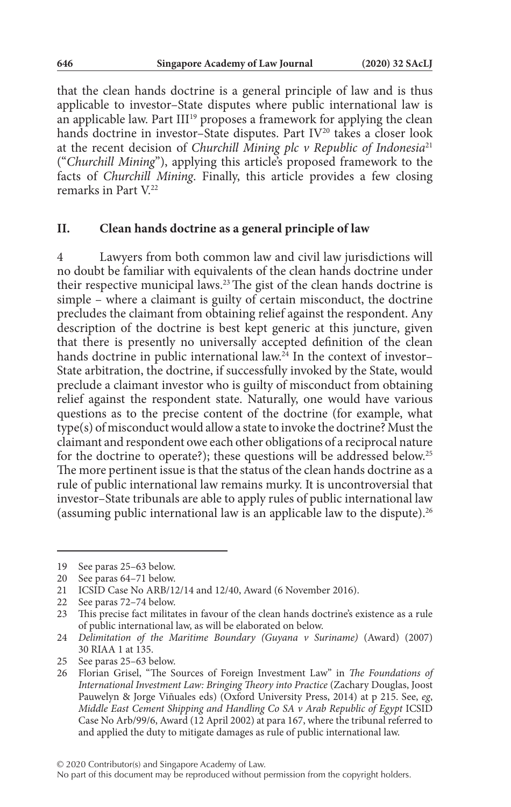that the clean hands doctrine is a general principle of law and is thus applicable to investor–State disputes where public international law is an applicable law. Part III<sup>19</sup> proposes a framework for applying the clean hands doctrine in investor-State disputes. Part IV<sup>20</sup> takes a closer look at the recent decision of *Churchill Mining plc v Republic of Indonesia*<sup>21</sup> ("*Churchill Mining*"), applying this article's proposed framework to the facts of *Churchill Mining*. Finally, this article provides a few closing remarks in Part V.<sup>22</sup>

#### **II. Clean hands doctrine as a general principle of law**

4 Lawyers from both common law and civil law jurisdictions will no doubt be familiar with equivalents of the clean hands doctrine under their respective municipal laws.23 The gist of the clean hands doctrine is simple – where a claimant is guilty of certain misconduct, the doctrine precludes the claimant from obtaining relief against the respondent. Any description of the doctrine is best kept generic at this juncture, given that there is presently no universally accepted definition of the clean hands doctrine in public international law. $^{24}$  In the context of investor-State arbitration, the doctrine, if successfully invoked by the State, would preclude a claimant investor who is guilty of misconduct from obtaining relief against the respondent state. Naturally, one would have various questions as to the precise content of the doctrine (for example, what type(s) of misconduct would allow a state to invoke the doctrine? Must the claimant and respondent owe each other obligations of a reciprocal nature for the doctrine to operate?); these questions will be addressed below.25 The more pertinent issue is that the status of the clean hands doctrine as a rule of public international law remains murky. It is uncontroversial that investor–State tribunals are able to apply rules of public international law (assuming public international law is an applicable law to the dispute).26

© 2020 Contributor(s) and Singapore Academy of Law.

<sup>19</sup> See paras 25–63 below.

<sup>20</sup> See paras 64–71 below.

<sup>21</sup> ICSID Case No ARB/12/14 and 12/40, Award (6 November 2016).

<sup>22</sup> See paras 72–74 below.

<sup>23</sup> This precise fact militates in favour of the clean hands doctrine's existence as a rule of public international law, as will be elaborated on below.

<sup>24</sup> *Delimitation of the Maritime Boundary (Guyana v Suriname)* (Award) (2007) 30 RIAA 1 at 135.

<sup>25</sup> See paras 25–63 below.

<sup>26</sup> Florian Grisel, "The Sources of Foreign Investment Law" in *The Foundations of International Investment Law: Bringing Theory into Practice* (Zachary Douglas, Joost Pauwelyn & Jorge Viñuales eds) (Oxford University Press, 2014) at p 215. See, *eg*, *Middle East Cement Shipping and Handling Co SA v Arab Republic of Egypt* ICSID Case No Arb/99/6, Award (12 April 2002) at para 167, where the tribunal referred to and applied the duty to mitigate damages as rule of public international law.

No part of this document may be reproduced without permission from the copyright holders.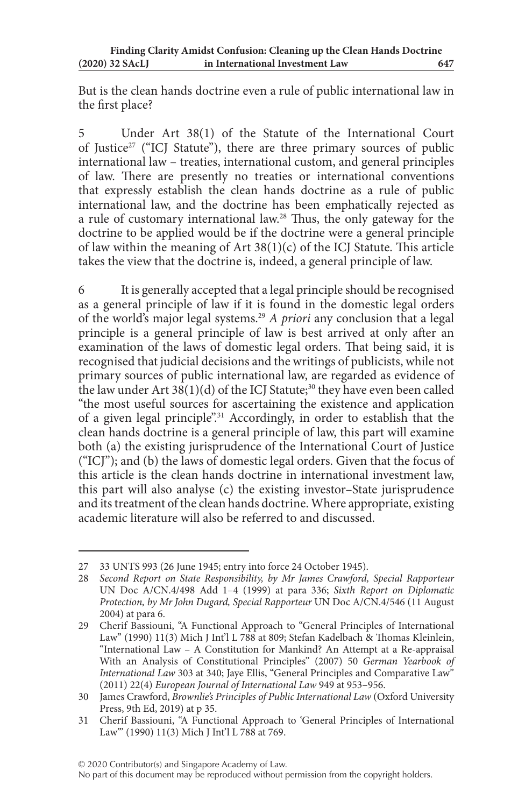But is the clean hands doctrine even a rule of public international law in the first place?

5 Under Art 38(1) of the Statute of the International Court of Justice<sup>27</sup> ("ICJ Statute"), there are three primary sources of public international law – treaties, international custom, and general principles of law. There are presently no treaties or international conventions that expressly establish the clean hands doctrine as a rule of public international law, and the doctrine has been emphatically rejected as a rule of customary international law.28 Thus, the only gateway for the doctrine to be applied would be if the doctrine were a general principle of law within the meaning of Art  $38(1)(c)$  of the ICJ Statute. This article takes the view that the doctrine is, indeed, a general principle of law.

6 It is generally accepted that a legal principle should be recognised as a general principle of law if it is found in the domestic legal orders of the world's major legal systems.29 *A priori* any conclusion that a legal principle is a general principle of law is best arrived at only after an examination of the laws of domestic legal orders. That being said, it is recognised that judicial decisions and the writings of publicists, while not primary sources of public international law, are regarded as evidence of the law under Art  $38(1)(d)$  of the ICJ Statute;<sup>30</sup> they have even been called "the most useful sources for ascertaining the existence and application of a given legal principle".<sup>31</sup> Accordingly, in order to establish that the clean hands doctrine is a general principle of law, this part will examine both (a) the existing jurisprudence of the International Court of Justice ("ICJ"); and (b) the laws of domestic legal orders. Given that the focus of this article is the clean hands doctrine in international investment law, this part will also analyse (c) the existing investor–State jurisprudence and its treatment of the clean hands doctrine. Where appropriate, existing academic literature will also be referred to and discussed.

<sup>27</sup> 33 UNTS 993 (26 June 1945; entry into force 24 October 1945).

<sup>28</sup> *Second Report on State Responsibility, by Mr James Crawford, Special Rapporteur* UN Doc A/CN.4/498 Add 1–4 (1999) at para 336; *Sixth Report on Diplomatic Protection, by Mr John Dugard, Special Rapporteur* UN Doc A/CN.4/546 (11 August 2004) at para 6.

<sup>29</sup> Cherif Bassiouni, "A Functional Approach to "General Principles of International Law" (1990) 11(3) Mich J Int'l L 788 at 809; Stefan Kadelbach & Thomas Kleinlein, "International Law – A Constitution for Mankind? An Attempt at a Re-appraisal With an Analysis of Constitutional Principles" (2007) 50 *German Yearbook of International Law* 303 at 340; Jaye Ellis, "General Principles and Comparative Law<sup>3</sup> (2011) 22(4) *European Journal of International Law* 949 at 953–956.

<sup>30</sup> James Crawford, *Brownlie's Principles of Public International Law* (Oxford University Press, 9th Ed, 2019) at p 35.

<sup>31</sup> Cherif Bassiouni, "A Functional Approach to 'General Principles of International Law'" (1990) 11(3) Mich J Int'l L 788 at 769.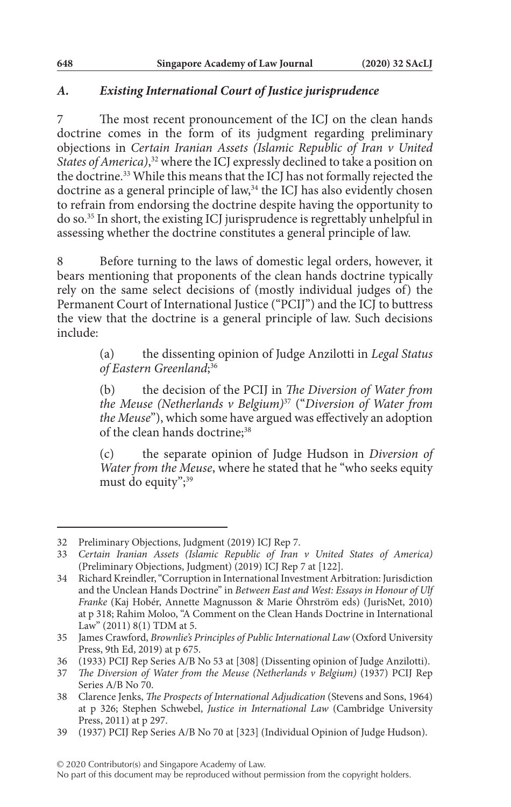### *A. Existing International Court of Justice jurisprudence*

7 The most recent pronouncement of the ICJ on the clean hands doctrine comes in the form of its judgment regarding preliminary objections in *Certain Iranian Assets (Islamic Republic of Iran v United States of America)*, 32 where the ICJ expressly declined to take a position on the doctrine.33 While this means that the ICJ has not formally rejected the doctrine as a general principle of law,<sup>34</sup> the ICJ has also evidently chosen to refrain from endorsing the doctrine despite having the opportunity to do so.35 In short, the existing ICJ jurisprudence is regrettably unhelpful in assessing whether the doctrine constitutes a general principle of law.

8 Before turning to the laws of domestic legal orders, however, it bears mentioning that proponents of the clean hands doctrine typically rely on the same select decisions of (mostly individual judges of) the Permanent Court of International Justice ("PCIJ") and the ICJ to buttress the view that the doctrine is a general principle of law. Such decisions include:

> (a) the dissenting opinion of Judge Anzilotti in *Legal Status of Eastern Greenland*; 36

> (b) the decision of the PCIJ in *The Diversion of Water from the Meuse (Netherlands v Belgium)*37 ("*Diversion of Water from the Meuse*"), which some have argued was effectively an adoption of the clean hands doctrine;<sup>38</sup>

> (c) the separate opinion of Judge Hudson in *Diversion of Water from the Meuse*, where he stated that he "who seeks equity must do equity";<sup>39</sup>

<sup>32</sup> Preliminary Objections, Judgment (2019) ICJ Rep 7.

<sup>33</sup> *Certain Iranian Assets (Islamic Republic of Iran v United States of America)* (Preliminary Objections, Judgment) (2019) ICJ Rep 7 at [122].

<sup>34</sup> Richard Kreindler, "Corruption in International Investment Arbitration: Jurisdiction and the Unclean Hands Doctrine" in *Between East and West: Essays in Honour of Ulf Franke* (Kaj Hobér, Annette Magnusson & Marie Öhrström eds) (JurisNet, 2010) at p 318; Rahim Moloo, "A Comment on the Clean Hands Doctrine in International Law" (2011) 8(1) TDM at 5.

<sup>35</sup> James Crawford, *Brownlie's Principles of Public International Law* (Oxford University Press, 9th Ed, 2019) at p 675.

<sup>36</sup> (1933) PCIJ Rep Series A/B No 53 at [308] (Dissenting opinion of Judge Anzilotti).

<sup>37</sup> *The Diversion of Water from the Meuse (Netherlands v Belgium)* (1937) PCIJ Rep Series A/B No 70.

<sup>38</sup> Clarence Jenks, *The Prospects of International Adjudication* (Stevens and Sons, 1964) at p 326; Stephen Schwebel, *Justice in International Law* (Cambridge University Press, 2011) at p 297.

<sup>39</sup> (1937) PCIJ Rep Series A/B No 70 at [323] (Individual Opinion of Judge Hudson).

No part of this document may be reproduced without permission from the copyright holders.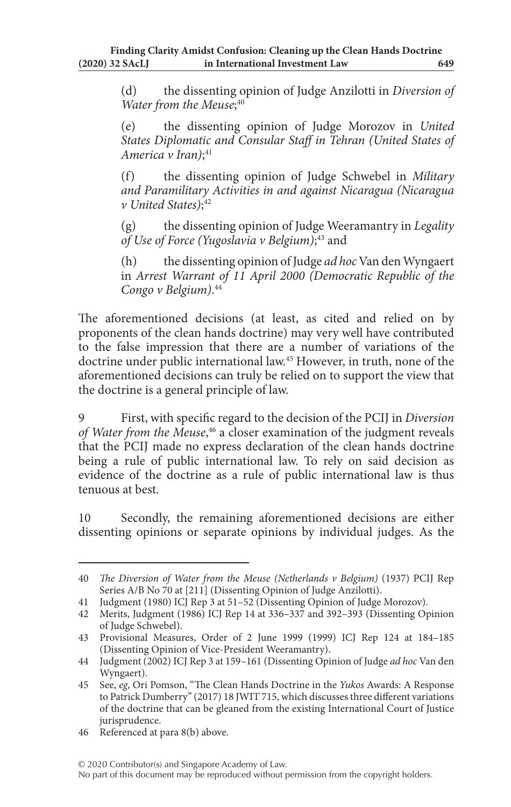(d) the dissenting opinion of Judge Anzilotti in *Diversion of Water from the Meuse*; 40

(e) the dissenting opinion of Judge Morozov in *United States Diplomatic and Consular Staff in Tehran (United States of America v Iran)*; 41

(f) the dissenting opinion of Judge Schwebel in *Military and Paramilitary Activities in and against Nicaragua (Nicaragua v United States)*; 42

(g) the dissenting opinion of Judge Weeramantry in *Legality of Use of Force (Yugoslavia v Belgium)*; 43 and

(h) the dissenting opinion of Judge *ad hoc* Van den Wyngaert in *Arrest Warrant of 11 April 2000 (Democratic Republic of the Congo v Belgium)*. 44

The aforementioned decisions (at least, as cited and relied on by proponents of the clean hands doctrine) may very well have contributed to the false impression that there are a number of variations of the doctrine under public international law.45 However, in truth, none of the aforementioned decisions can truly be relied on to support the view that the doctrine is a general principle of law.

9 First, with specific regard to the decision of the PCIJ in *Diversion of Water from the Meuse*, 46 a closer examination of the judgment reveals that the PCIJ made no express declaration of the clean hands doctrine being a rule of public international law. To rely on said decision as evidence of the doctrine as a rule of public international law is thus tenuous at best.

10 Secondly, the remaining aforementioned decisions are either dissenting opinions or separate opinions by individual judges. As the

<sup>40</sup> *The Diversion of Water from the Meuse (Netherlands v Belgium)* (1937) PCIJ Rep Series A/B No 70 at [211] (Dissenting Opinion of Judge Anzilotti).

<sup>41</sup> Judgment (1980) ICJ Rep 3 at 51–52 (Dissenting Opinion of Judge Morozov).

<sup>42</sup> Merits, Judgment (1986) ICJ Rep 14 at 336–337 and 392–393 (Dissenting Opinion of Judge Schwebel).

<sup>43</sup> Provisional Measures, Order of 2 June 1999 (1999) ICJ Rep 124 at 184–185 (Dissenting Opinion of Vice-President Weeramantry).

<sup>44</sup> Judgment (2002) ICJ Rep 3 at 159–161 (Dissenting Opinion of Judge *ad hoc* Van den Wyngaert).

<sup>45</sup> See, *eg*, Ori Pomson, "The Clean Hands Doctrine in the *Yukos* Awards: A Response to Patrick Dumberry" (2017) 18 JWIT 715, which discusses three different variations of the doctrine that can be gleaned from the existing International Court of Justice jurisprudence.

<sup>46</sup> Referenced at para 8(b) above.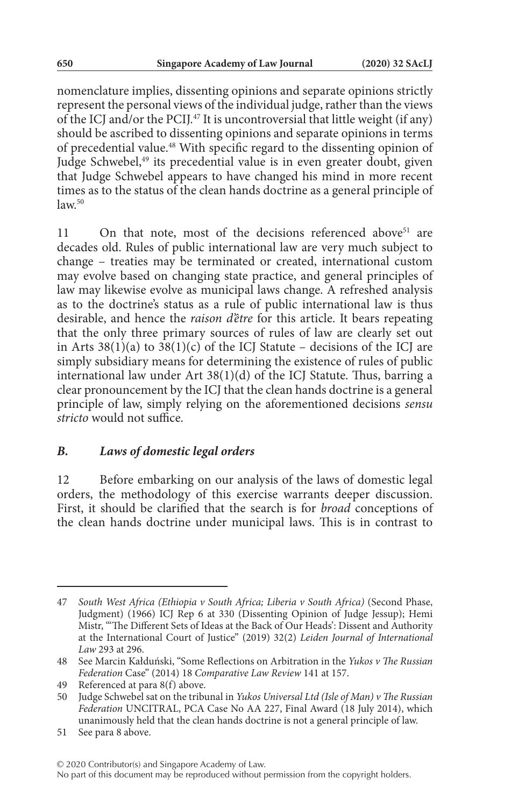nomenclature implies, dissenting opinions and separate opinions strictly represent the personal views of the individual judge, rather than the views of the ICJ and/or the PCIJ.<sup>47</sup> It is uncontroversial that little weight (if any) should be ascribed to dissenting opinions and separate opinions in terms of precedential value.48 With specific regard to the dissenting opinion of Judge Schwebel,<sup>49</sup> its precedential value is in even greater doubt, given that Judge Schwebel appears to have changed his mind in more recent times as to the status of the clean hands doctrine as a general principle of  $law<sup>50</sup>$ 

11 On that note, most of the decisions referenced above<sup>51</sup> are decades old. Rules of public international law are very much subject to change – treaties may be terminated or created, international custom may evolve based on changing state practice, and general principles of law may likewise evolve as municipal laws change. A refreshed analysis as to the doctrine's status as a rule of public international law is thus desirable, and hence the *raison d'être* for this article. It bears repeating that the only three primary sources of rules of law are clearly set out in Arts  $38(1)(a)$  to  $38(1)(c)$  of the ICJ Statute – decisions of the ICJ are simply subsidiary means for determining the existence of rules of public international law under Art 38(1)(d) of the ICJ Statute. Thus, barring a clear pronouncement by the ICJ that the clean hands doctrine is a general principle of law, simply relying on the aforementioned decisions *sensu stricto* would not suffice.

### *B. Laws of domestic legal orders*

12 Before embarking on our analysis of the laws of domestic legal orders, the methodology of this exercise warrants deeper discussion. First, it should be clarified that the search is for *broad* conceptions of the clean hands doctrine under municipal laws. This is in contrast to

<sup>47</sup> *South West Africa (Ethiopia v South Africa; Liberia v South Africa)* (Second Phase, Judgment) (1966) ICJ Rep 6 at 330 (Dissenting Opinion of Judge Jessup); Hemi Mistr, "'The Different Sets of Ideas at the Back of Our Heads': Dissent and Authority at the International Court of Justice" (2019) 32(2) *Leiden Journal of International Law* 293 at 296.

<sup>48</sup> See Marcin Kałduński, "Some Reflections on Arbitration in the *Yukos v The Russian Federation* Case" (2014) 18 *Comparative Law Review* 141 at 157.

<sup>49</sup> Referenced at para 8(f) above.

<sup>50</sup> Judge Schwebel sat on the tribunal in *Yukos Universal Ltd (Isle of Man) v The Russian Federation* UNCITRAL, PCA Case No AA 227, Final Award (18 July 2014), which unanimously held that the clean hands doctrine is not a general principle of law.

<sup>51</sup> See para 8 above.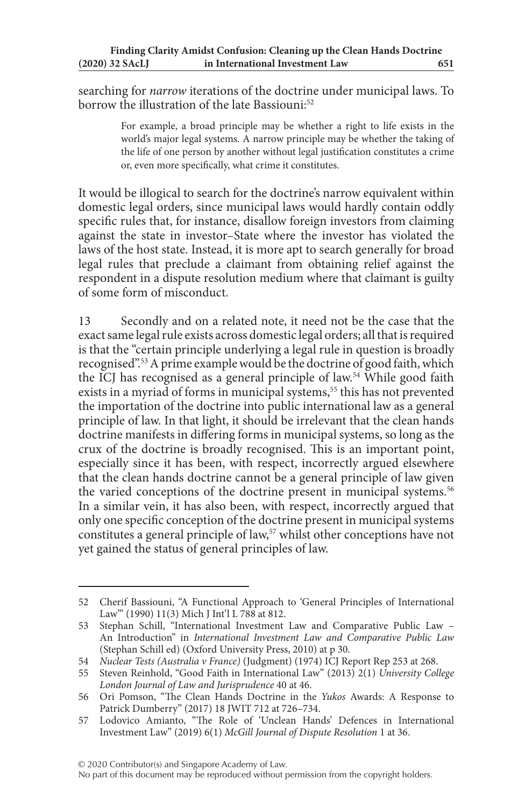searching for *narrow* iterations of the doctrine under municipal laws. To borrow the illustration of the late Bassiouni:<sup>52</sup>

> For example, a broad principle may be whether a right to life exists in the world's major legal systems. A narrow principle may be whether the taking of the life of one person by another without legal justification constitutes a crime or, even more specifically, what crime it constitutes.

It would be illogical to search for the doctrine's narrow equivalent within domestic legal orders, since municipal laws would hardly contain oddly specific rules that, for instance, disallow foreign investors from claiming against the state in investor–State where the investor has violated the laws of the host state. Instead, it is more apt to search generally for broad legal rules that preclude a claimant from obtaining relief against the respondent in a dispute resolution medium where that claimant is guilty of some form of misconduct.

13 Secondly and on a related note, it need not be the case that the exact same legal rule exists across domestic legal orders; all that is required is that the "certain principle underlying a legal rule in question is broadly recognised".53 A prime example would be the doctrine of good faith, which the ICJ has recognised as a general principle of law.54 While good faith exists in a myriad of forms in municipal systems,<sup>55</sup> this has not prevented the importation of the doctrine into public international law as a general principle of law. In that light, it should be irrelevant that the clean hands doctrine manifests in differing forms in municipal systems, so long as the crux of the doctrine is broadly recognised. This is an important point, especially since it has been, with respect, incorrectly argued elsewhere that the clean hands doctrine cannot be a general principle of law given the varied conceptions of the doctrine present in municipal systems.<sup>56</sup> In a similar vein, it has also been, with respect, incorrectly argued that only one specific conception of the doctrine present in municipal systems constitutes a general principle of law,<sup>57</sup> whilst other conceptions have not yet gained the status of general principles of law.

© 2020 Contributor(s) and Singapore Academy of Law.

<sup>52</sup> Cherif Bassiouni, "A Functional Approach to 'General Principles of International Law'" (1990) 11(3) Mich J Int'l L 788 at 812.

<sup>53</sup> Stephan Schill, "International Investment Law and Comparative Public Law – An Introduction" in *International Investment Law and Comparative Public Law* (Stephan Schill ed) (Oxford University Press, 2010) at p 30.

<sup>54</sup> *Nuclear Tests (Australia v France)* (Judgment) (1974) ICJ Report Rep 253 at 268.

<sup>55</sup> Steven Reinhold, "Good Faith in International Law" (2013) 2(1) *University College London Journal of Law and Jurisprudence* 40 at 46.

<sup>56</sup> Ori Pomson, "The Clean Hands Doctrine in the *Yukos* Awards: A Response to Patrick Dumberry" (2017) 18 JWIT 712 at 726–734.

<sup>57</sup> Lodovico Amianto, "The Role of 'Unclean Hands' Defences in International Investment Law" (2019) 6(1) *McGill Journal of Dispute Resolution* 1 at 36.

No part of this document may be reproduced without permission from the copyright holders.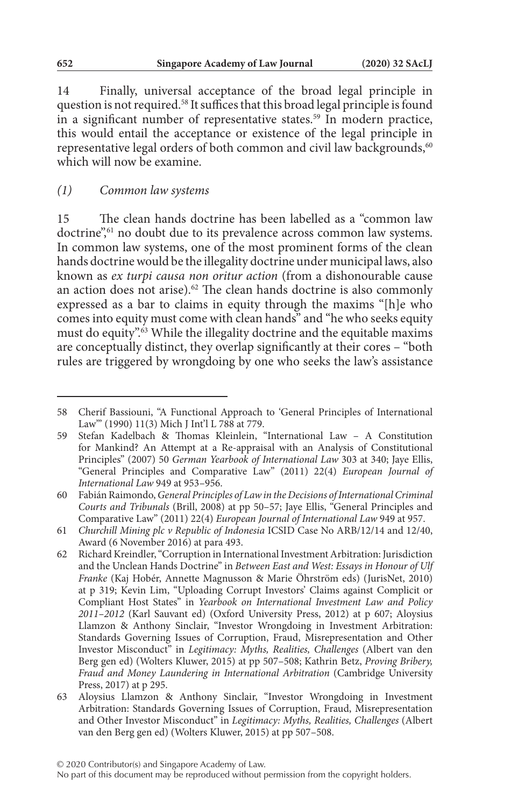14 Finally, universal acceptance of the broad legal principle in question is not required.58 It suffices that this broad legal principle is found in a significant number of representative states.<sup>59</sup> In modern practice, this would entail the acceptance or existence of the legal principle in representative legal orders of both common and civil law backgrounds,<sup>60</sup> which will now be examine.

### *(1) Common law systems*

15 The clean hands doctrine has been labelled as a "common law doctrine",<sup>61</sup> no doubt due to its prevalence across common law systems. In common law systems, one of the most prominent forms of the clean hands doctrine would be the illegality doctrine under municipal laws, also known as *ex turpi causa non oritur action* (from a dishonourable cause an action does not arise).<sup>62</sup> The clean hands doctrine is also commonly expressed as a bar to claims in equity through the maxims "[h]e who comes into equity must come with clean hands" and "he who seeks equity must do equity".63 While the illegality doctrine and the equitable maxims are conceptually distinct, they overlap significantly at their cores – "both rules are triggered by wrongdoing by one who seeks the law's assistance

<sup>58</sup> Cherif Bassiouni, "A Functional Approach to 'General Principles of International Law'" (1990) 11(3) Mich J Int'l L 788 at 779.

<sup>59</sup> Stefan Kadelbach & Thomas Kleinlein, "International Law – A Constitution for Mankind? An Attempt at a Re-appraisal with an Analysis of Constitutional Principles" (2007) 50 *German Yearbook of International Law* 303 at 340; Jaye Ellis, "General Principles and Comparative Law" (2011) 22(4) *European Journal of International Law* 949 at 953–956.

<sup>60</sup> Fabián Raimondo, *General Principles of Law in the Decisions of International Criminal Courts and Tribunals* (Brill, 2008) at pp 50–57; Jaye Ellis, "General Principles and Comparative Law" (2011) 22(4) *European Journal of International Law* 949 at 957.

<sup>61</sup> *Churchill Mining plc v Republic of Indonesia* ICSID Case No ARB/12/14 and 12/40, Award (6 November 2016) at para 493.

<sup>62</sup> Richard Kreindler, "Corruption in International Investment Arbitration: Jurisdiction and the Unclean Hands Doctrine" in *Between East and West: Essays in Honour of Ulf Franke* (Kaj Hobér, Annette Magnusson & Marie Öhrström eds) (JurisNet, 2010) at p 319; Kevin Lim, "Uploading Corrupt Investors' Claims against Complicit or Compliant Host States" in *Yearbook on International Investment Law and Policy 2011–2012* (Karl Sauvant ed) (Oxford University Press, 2012) at p 607; Aloysius Llamzon & Anthony Sinclair, "Investor Wrongdoing in Investment Arbitration: Standards Governing Issues of Corruption, Fraud, Misrepresentation and Other Investor Misconduct" in *Legitimacy: Myths, Realities, Challenges* (Albert van den Berg gen ed) (Wolters Kluwer, 2015) at pp 507–508; Kathrin Betz, *Proving Bribery, Fraud and Money Laundering in International Arbitration* (Cambridge University Press, 2017) at p 295.

<sup>63</sup> Aloysius Llamzon & Anthony Sinclair, "Investor Wrongdoing in Investment Arbitration: Standards Governing Issues of Corruption, Fraud, Misrepresentation and Other Investor Misconduct" in *Legitimacy: Myths, Realities, Challenges* (Albert van den Berg gen ed) (Wolters Kluwer, 2015) at pp 507–508.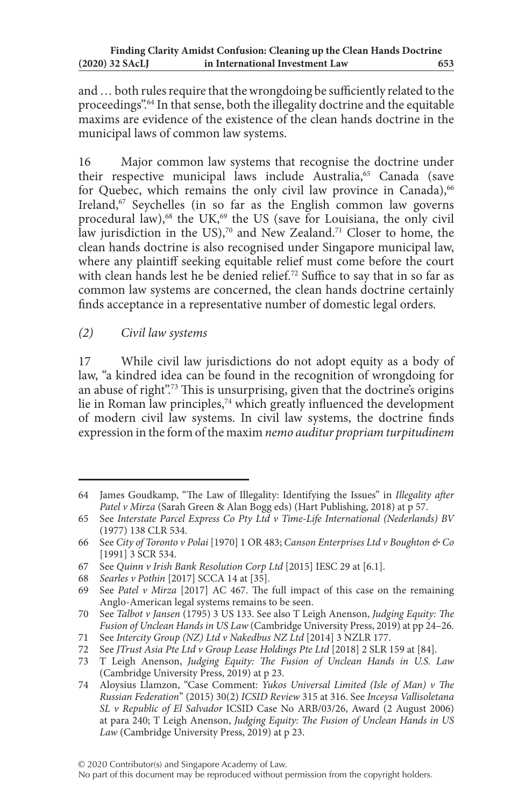and … both rules require that the wrongdoing be sufficiently related to the proceedings".64 In that sense, both the illegality doctrine and the equitable maxims are evidence of the existence of the clean hands doctrine in the municipal laws of common law systems.

16 Major common law systems that recognise the doctrine under their respective municipal laws include Australia,<sup>65</sup> Canada (save for Quebec, which remains the only civil law province in Canada),<sup>66</sup> Ireland, $67$  Seychelles (in so far as the English common law governs procedural law),<sup>68</sup> the UK,<sup>69</sup> the US (save for Louisiana, the only civil law jurisdiction in the US),<sup>70</sup> and New Zealand.<sup>71</sup> Closer to home, the clean hands doctrine is also recognised under Singapore municipal law, where any plaintiff seeking equitable relief must come before the court with clean hands lest he be denied relief.<sup>72</sup> Suffice to say that in so far as common law systems are concerned, the clean hands doctrine certainly finds acceptance in a representative number of domestic legal orders.

## *(2) Civil law systems*

17 While civil law jurisdictions do not adopt equity as a body of law, "a kindred idea can be found in the recognition of wrongdoing for an abuse of right".73 This is unsurprising, given that the doctrine's origins lie in Roman law principles, $74$  which greatly influenced the development of modern civil law systems. In civil law systems, the doctrine finds expression in the form of the maxim *nemo auditur propriam turpitudinem* 

<sup>64</sup> James Goudkamp, "The Law of Illegality: Identifying the Issues" in *Illegality after Patel v Mirza* (Sarah Green & Alan Bogg eds) (Hart Publishing, 2018) at p 57.

<sup>65</sup> See *Interstate Parcel Express Co Pty Ltd v Time-Life International (Nederlands) BV* (1977) 138 CLR 534.

<sup>66</sup> See *City of Toronto v Polai* [1970] 1 OR 483; *Canson Enterprises Ltd v Boughton & Co* [1991] 3 SCR 534.

<sup>67</sup> See *Quinn v Irish Bank Resolution Corp Ltd* [2015] IESC 29 at [6.1].

<sup>68</sup> *Searles v Pothin* [2017] SCCA 14 at [35].

<sup>69</sup> See *Patel v Mirza* [2017] AC 467. The full impact of this case on the remaining Anglo-American legal systems remains to be seen.

<sup>70</sup> See *Talbot v Jansen* (1795) 3 US 133. See also T Leigh Anenson, *Judging Equity: The Fusion of Unclean Hands in US Law* (Cambridge University Press, 2019) at pp 24–26.

<sup>71</sup> See *Intercity Group (NZ) Ltd v Nakedbus NZ Ltd* [2014] 3 NZLR 177. 72 See *JTrust Asia Pte Ltd v Group Lease Holdings Pte Ltd* [2018] 2 SLR 159 at [84].

<sup>73</sup> T Leigh Anenson, *Judging Equity: The Fusion of Unclean Hands in U.S. Law*

<sup>(</sup>Cambridge University Press, 2019) at p 23. 74 Aloysius Llamzon, "Case Comment: *Yukos Universal Limited (Isle of Man) v The Russian Federation*" (2015) 30(2) *ICSID Review* 315 at 316. See *Inceysa Vallisoletana SL v Republic of El Salvador* ICSID Case No ARB/03/26, Award (2 August 2006) at para 240; T Leigh Anenson, *Judging Equity: The Fusion of Unclean Hands in US Law* (Cambridge University Press, 2019) at p 23.

No part of this document may be reproduced without permission from the copyright holders.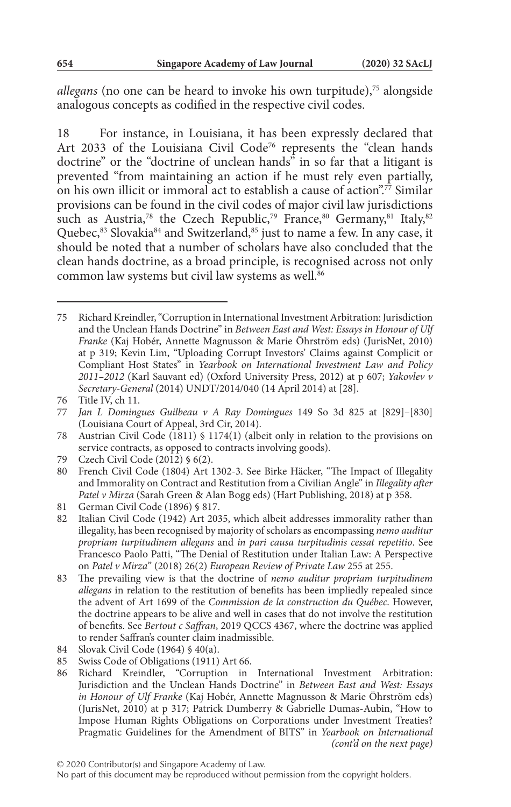*allegans* (no one can be heard to invoke his own turpitude),<sup>75</sup> alongside analogous concepts as codified in the respective civil codes.

18 For instance, in Louisiana, it has been expressly declared that Art 2033 of the Louisiana Civil Code<sup>76</sup> represents the "clean hands doctrine" or the "doctrine of unclean hands" in so far that a litigant is prevented "from maintaining an action if he must rely even partially, on his own illicit or immoral act to establish a cause of action".77 Similar provisions can be found in the civil codes of major civil law jurisdictions such as Austria,<sup>78</sup> the Czech Republic,<sup>79</sup> France,<sup>80</sup> Germany,<sup>81</sup> Italy,<sup>82</sup> Quebec,<sup>83</sup> Slovakia<sup>84</sup> and Switzerland,<sup>85</sup> just to name a few. In any case, it should be noted that a number of scholars have also concluded that the clean hands doctrine, as a broad principle, is recognised across not only common law systems but civil law systems as well.<sup>86</sup>

79 Czech Civil Code (2012) § 6(2).

84 Slovak Civil Code (1964) § 40(a).

<sup>75</sup> Richard Kreindler, "Corruption in International Investment Arbitration: Jurisdiction and the Unclean Hands Doctrine" in *Between East and West: Essays in Honour of Ulf Franke* (Kaj Hobér, Annette Magnusson & Marie Öhrström eds) (JurisNet, 2010) at p 319; Kevin Lim, "Uploading Corrupt Investors' Claims against Complicit or Compliant Host States" in *Yearbook on International Investment Law and Policy 2011–2012* (Karl Sauvant ed) (Oxford University Press, 2012) at p 607; *Yakovlev v Secretary-General* (2014) UNDT/2014/040 (14 April 2014) at [28].

<sup>76</sup> Title IV, ch 11.

<sup>77</sup> *Jan L Domingues Guilbeau v A Ray Domingues* 149 So 3d 825 at [829]–[830] (Louisiana Court of Appeal, 3rd Cir, 2014).

<sup>78</sup> Austrian Civil Code (1811) § 1174(1) (albeit only in relation to the provisions on service contracts, as opposed to contracts involving goods).

<sup>80</sup> French Civil Code (1804) Art 1302-3. See Birke Häcker, "The Impact of Illegality and Immorality on Contract and Restitution from a Civilian Angle" in *Illegality after Patel v Mirza* (Sarah Green & Alan Bogg eds) (Hart Publishing, 2018) at p 358.

<sup>81</sup> German Civil Code (1896) § 817.

<sup>82</sup> Italian Civil Code (1942) Art 2035, which albeit addresses immorality rather than illegality, has been recognised by majority of scholars as encompassing *nemo auditur propriam turpitudinem allegans* and *in pari causa turpitudinis cessat repetitio*. See Francesco Paolo Patti, "The Denial of Restitution under Italian Law: A Perspective on *Patel v Mirza*" (2018) 26(2) *European Review of Private Law* 255 at 255.

<sup>83</sup> The prevailing view is that the doctrine of *nemo auditur propriam turpitudinem allegans* in relation to the restitution of benefits has been impliedly repealed since the advent of Art 1699 of the *Commission de la construction du Québec*. However, the doctrine appears to be alive and well in cases that do not involve the restitution of benefits. See *Bertout c Saffran*, 2019 QCCS 4367, where the doctrine was applied to render Saffran's counter claim inadmissible.

<sup>85</sup> Swiss Code of Obligations (1911) Art 66.

<sup>86</sup> Richard Kreindler, "Corruption in International Investment Arbitration: Jurisdiction and the Unclean Hands Doctrine" in *Between East and West: Essays in Honour of Ulf Franke* (Kaj Hobér, Annette Magnusson & Marie Öhrström eds) (JurisNet, 2010) at p 317; Patrick Dumberry & Gabrielle Dumas-Aubin, "How to Impose Human Rights Obligations on Corporations under Investment Treaties? Pragmatic Guidelines for the Amendment of BITS" in *Yearbook on International (cont'd on the next page)*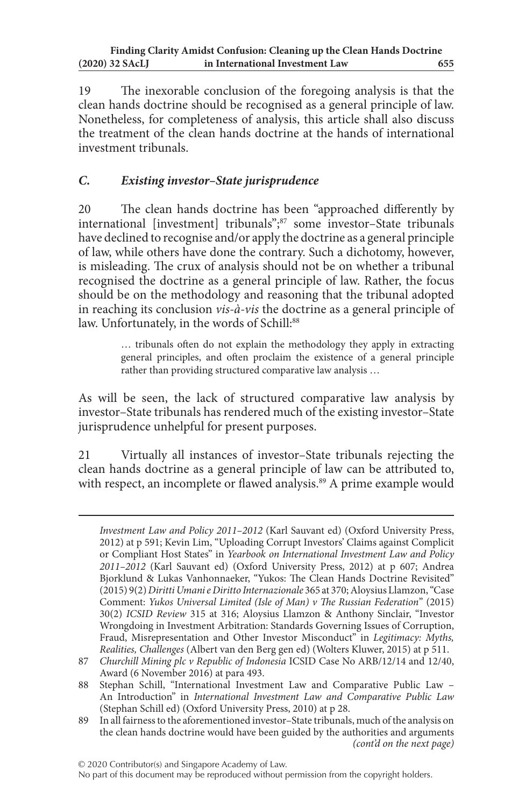19 The inexorable conclusion of the foregoing analysis is that the clean hands doctrine should be recognised as a general principle of law. Nonetheless, for completeness of analysis, this article shall also discuss the treatment of the clean hands doctrine at the hands of international investment tribunals.

# *C. Existing investor–State jurisprudence*

20 The clean hands doctrine has been "approached differently by international [investment] tribunals";<sup>87</sup> some investor-State tribunals have declined to recognise and/or apply the doctrine as a general principle of law, while others have done the contrary. Such a dichotomy, however, is misleading. The crux of analysis should not be on whether a tribunal recognised the doctrine as a general principle of law. Rather, the focus should be on the methodology and reasoning that the tribunal adopted in reaching its conclusion *vis-à-vis* the doctrine as a general principle of law. Unfortunately, in the words of Schill:<sup>88</sup>

> … tribunals often do not explain the methodology they apply in extracting general principles, and often proclaim the existence of a general principle rather than providing structured comparative law analysis …

As will be seen, the lack of structured comparative law analysis by investor–State tribunals has rendered much of the existing investor–State jurisprudence unhelpful for present purposes.

21 Virtually all instances of investor–State tribunals rejecting the clean hands doctrine as a general principle of law can be attributed to, with respect, an incomplete or flawed analysis.<sup>89</sup> A prime example would

*Investment Law and Policy 2011–2012* (Karl Sauvant ed) (Oxford University Press, 2012) at p 591; Kevin Lim, "Uploading Corrupt Investors' Claims against Complicit or Compliant Host States" in *Yearbook on International Investment Law and Policy 2011–2012* (Karl Sauvant ed) (Oxford University Press, 2012) at p 607; Andrea Bjorklund & Lukas Vanhonnaeker, "Yukos: The Clean Hands Doctrine Revisited" (2015) 9(2) *Diritti Umani e Diritto Internazionale* 365 at 370; Aloysius Llamzon, "Case Comment: *Yukos Universal Limited (Isle of Man) v The Russian Federation*" (2015) 30(2) *ICSID Review* 315 at 316; Aloysius Llamzon & Anthony Sinclair, "Investor Wrongdoing in Investment Arbitration: Standards Governing Issues of Corruption, Fraud, Misrepresentation and Other Investor Misconduct" in *Legitimacy: Myths, Realities, Challenges* (Albert van den Berg gen ed) (Wolters Kluwer, 2015) at p 511.

<sup>87</sup> *Churchill Mining plc v Republic of Indonesia* ICSID Case No ARB/12/14 and 12/40, Award (6 November 2016) at para 493.

<sup>88</sup> Stephan Schill, "International Investment Law and Comparative Public Law – An Introduction" in *International Investment Law and Comparative Public Law* (Stephan Schill ed) (Oxford University Press, 2010) at p 28.

<sup>89</sup> In all fairness to the aforementioned investor–State tribunals, much of the analysis on the clean hands doctrine would have been guided by the authorities and arguments *(cont'd on the next page)*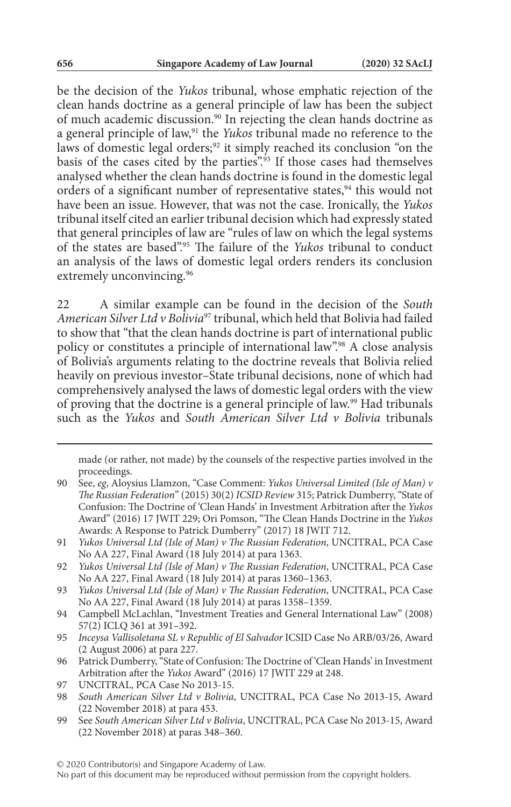be the decision of the *Yukos* tribunal, whose emphatic rejection of the clean hands doctrine as a general principle of law has been the subject of much academic discussion.90 In rejecting the clean hands doctrine as a general principle of law,<sup>91</sup> the *Yukos* tribunal made no reference to the laws of domestic legal orders;<sup>92</sup> it simply reached its conclusion "on the basis of the cases cited by the parties".<sup>93</sup> If those cases had themselves analysed whether the clean hands doctrine is found in the domestic legal orders of a significant number of representative states,<sup>94</sup> this would not have been an issue. However, that was not the case. Ironically, the *Yukos* tribunal itself cited an earlier tribunal decision which had expressly stated that general principles of law are "rules of law on which the legal systems of the states are based".95 The failure of the *Yukos* tribunal to conduct an analysis of the laws of domestic legal orders renders its conclusion extremely unconvincing.<sup>96</sup>

22 A similar example can be found in the decision of the *South American Silver Ltd v Bolivia*97 tribunal, which held that Bolivia had failed to show that "that the clean hands doctrine is part of international public policy or constitutes a principle of international law".<sup>98</sup> A close analysis of Bolivia's arguments relating to the doctrine reveals that Bolivia relied heavily on previous investor–State tribunal decisions, none of which had comprehensively analysed the laws of domestic legal orders with the view of proving that the doctrine is a general principle of law.99 Had tribunals such as the *Yukos* and *South American Silver Ltd v Bolivia* tribunals

made (or rather, not made) by the counsels of the respective parties involved in the proceedings.

<sup>90</sup> See, *eg*, Aloysius Llamzon, "Case Comment: *Yukos Universal Limited (Isle of Man) v The Russian Federation*" (2015) 30(2) *ICSID Review* 315; Patrick Dumberry, "State of Confusion: The Doctrine of 'Clean Hands' in Investment Arbitration after the *Yukos* Award" (2016) 17 JWIT 229; Ori Pomson, "The Clean Hands Doctrine in the *Yukos* Awards: A Response to Patrick Dumberry" (2017) 18 JWIT 712.

<sup>91</sup> *Yukos Universal Ltd (Isle of Man) v The Russian Federation*, UNCITRAL, PCA Case No AA 227, Final Award (18 July 2014) at para 1363.

<sup>92</sup> *Yukos Universal Ltd (Isle of Man) v The Russian Federation*, UNCITRAL, PCA Case No AA 227, Final Award (18 July 2014) at paras 1360–1363.

<sup>93</sup> *Yukos Universal Ltd (Isle of Man) v The Russian Federation*, UNCITRAL, PCA Case No AA 227, Final Award (18 July 2014) at paras 1358–1359.

<sup>94</sup> Campbell McLachlan, "Investment Treaties and General International Law" (2008) 57(2) ICLQ 361 at 391–392.

<sup>95</sup> *Inceysa Vallisoletana SL v Republic of El Salvador* ICSID Case No ARB/03/26, Award (2 August 2006) at para 227.

<sup>96</sup> Patrick Dumberry, "State of Confusion: The Doctrine of 'Clean Hands' in Investment Arbitration after the *Yukos* Award" (2016) 17 JWIT 229 at 248.

<sup>97</sup> UNCITRAL, PCA Case No 2013-15.

<sup>98</sup> *South American Silver Ltd v Bolivia*, UNCITRAL, PCA Case No 2013-15, Award (22 November 2018) at para 453.

<sup>99</sup> See *South American Silver Ltd v Bolivia*, UNCITRAL, PCA Case No 2013-15, Award (22 November 2018) at paras 348–360.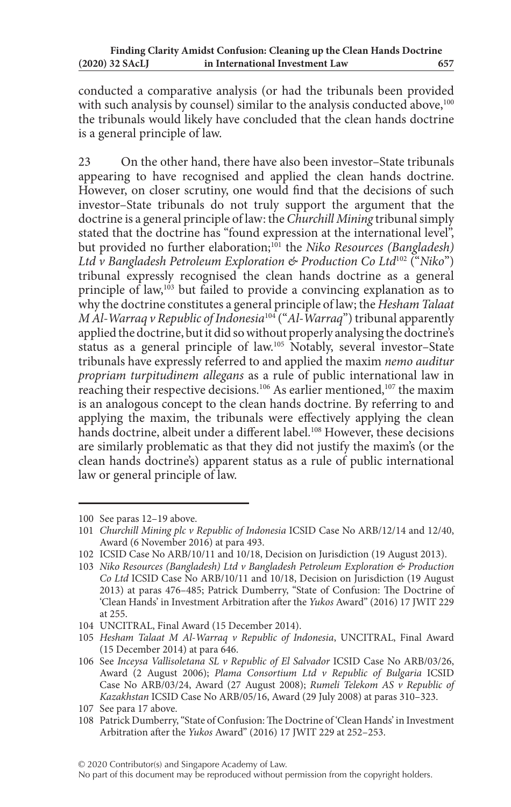conducted a comparative analysis (or had the tribunals been provided with such analysis by counsel) similar to the analysis conducted above,<sup>100</sup> the tribunals would likely have concluded that the clean hands doctrine is a general principle of law.

23 On the other hand, there have also been investor–State tribunals appearing to have recognised and applied the clean hands doctrine. However, on closer scrutiny, one would find that the decisions of such investor–State tribunals do not truly support the argument that the doctrine is a general principle of law: the *Churchill Mining* tribunal simply stated that the doctrine has "found expression at the international level", but provided no further elaboration;<sup>101</sup> the *Niko Resources (Bangladesh) Ltd v Bangladesh Petroleum Exploration & Production Co Ltd*102 ("*Niko*") tribunal expressly recognised the clean hands doctrine as a general principle of law,<sup>103</sup> but failed to provide a convincing explanation as to why the doctrine constitutes a general principle of law; the *Hesham Talaat M Al-Warraq v Republic of Indonesia*104 ("*Al-Warraq*") tribunal apparently applied the doctrine, but it did so without properly analysing the doctrine's status as a general principle of law.105 Notably, several investor–State tribunals have expressly referred to and applied the maxim *nemo auditur propriam turpitudinem allegans* as a rule of public international law in reaching their respective decisions.<sup>106</sup> As earlier mentioned,<sup>107</sup> the maxim is an analogous concept to the clean hands doctrine. By referring to and applying the maxim, the tribunals were effectively applying the clean hands doctrine, albeit under a different label.<sup>108</sup> However, these decisions are similarly problematic as that they did not justify the maxim's (or the clean hands doctrine's) apparent status as a rule of public international law or general principle of law.

<sup>100</sup> See paras 12–19 above.

<sup>101</sup> *Churchill Mining plc v Republic of Indonesia* ICSID Case No ARB/12/14 and 12/40, Award (6 November 2016) at para 493.

<sup>102</sup> ICSID Case No ARB/10/11 and 10/18, Decision on Jurisdiction (19 August 2013).

<sup>103</sup> *Niko Resources (Bangladesh) Ltd v Bangladesh Petroleum Exploration & Production Co Ltd* ICSID Case No ARB/10/11 and 10/18, Decision on Jurisdiction (19 August 2013) at paras 476–485; Patrick Dumberry, "State of Confusion: The Doctrine of 'Clean Hands' in Investment Arbitration after the *Yukos* Award" (2016) 17 JWIT 229 at 255.

<sup>104</sup> UNCITRAL, Final Award (15 December 2014).

<sup>105</sup> *Hesham Talaat M Al-Warraq v Republic of Indonesia*, UNCITRAL, Final Award (15 December 2014) at para 646.

<sup>106</sup> See *Inceysa Vallisoletana SL v Republic of El Salvador* ICSID Case No ARB/03/26, Award (2 August 2006); *Plama Consortium Ltd v Republic of Bulgaria* ICSID Case No ARB/03/24, Award (27 August 2008); *Rumeli Telekom AS v Republic of Kazakhstan* ICSID Case No ARB/05/16, Award (29 July 2008) at paras 310–323.

<sup>107</sup> See para 17 above.

<sup>108</sup> Patrick Dumberry, "State of Confusion: The Doctrine of 'Clean Hands' in Investment Arbitration after the *Yukos* Award" (2016) 17 JWIT 229 at 252–253.

No part of this document may be reproduced without permission from the copyright holders.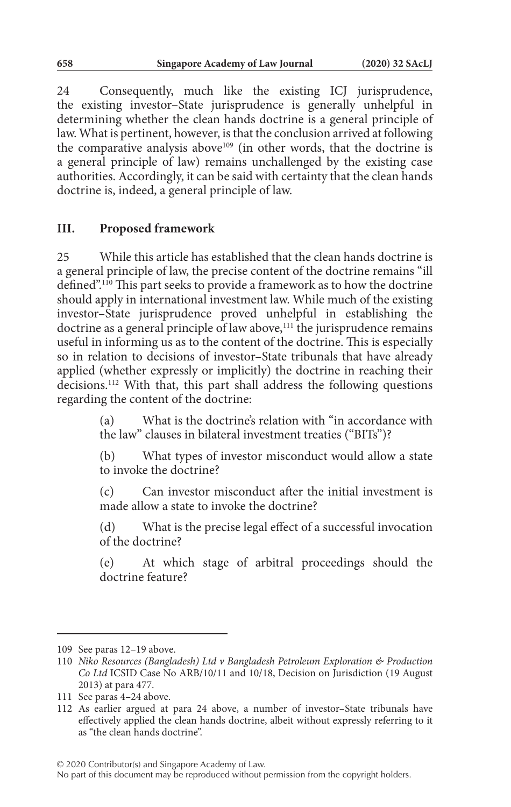24 Consequently, much like the existing ICJ jurisprudence, the existing investor–State jurisprudence is generally unhelpful in determining whether the clean hands doctrine is a general principle of law. What is pertinent, however, is that the conclusion arrived at following the comparative analysis above<sup>109</sup> (in other words, that the doctrine is a general principle of law) remains unchallenged by the existing case authorities. Accordingly, it can be said with certainty that the clean hands doctrine is, indeed, a general principle of law.

### **III. Proposed framework**

25 While this article has established that the clean hands doctrine is a general principle of law, the precise content of the doctrine remains "ill defined".110 This part seeks to provide a framework as to how the doctrine should apply in international investment law. While much of the existing investor–State jurisprudence proved unhelpful in establishing the doctrine as a general principle of law above,<sup>111</sup> the jurisprudence remains useful in informing us as to the content of the doctrine. This is especially so in relation to decisions of investor–State tribunals that have already applied (whether expressly or implicitly) the doctrine in reaching their decisions.112 With that, this part shall address the following questions regarding the content of the doctrine:

> (a) What is the doctrine's relation with "in accordance with the law" clauses in bilateral investment treaties ("BITs")?

> (b) What types of investor misconduct would allow a state to invoke the doctrine?

> (c) Can investor misconduct after the initial investment is made allow a state to invoke the doctrine?

> (d) What is the precise legal effect of a successful invocation of the doctrine?

> (e) At which stage of arbitral proceedings should the doctrine feature?

<sup>109</sup> See paras 12–19 above.

<sup>110</sup> *Niko Resources (Bangladesh) Ltd v Bangladesh Petroleum Exploration & Production Co Ltd* ICSID Case No ARB/10/11 and 10/18, Decision on Jurisdiction (19 August 2013) at para 477.

<sup>111</sup> See paras 4–24 above.

<sup>112</sup> As earlier argued at para 24 above, a number of investor–State tribunals have effectively applied the clean hands doctrine, albeit without expressly referring to it as "the clean hands doctrine".

No part of this document may be reproduced without permission from the copyright holders.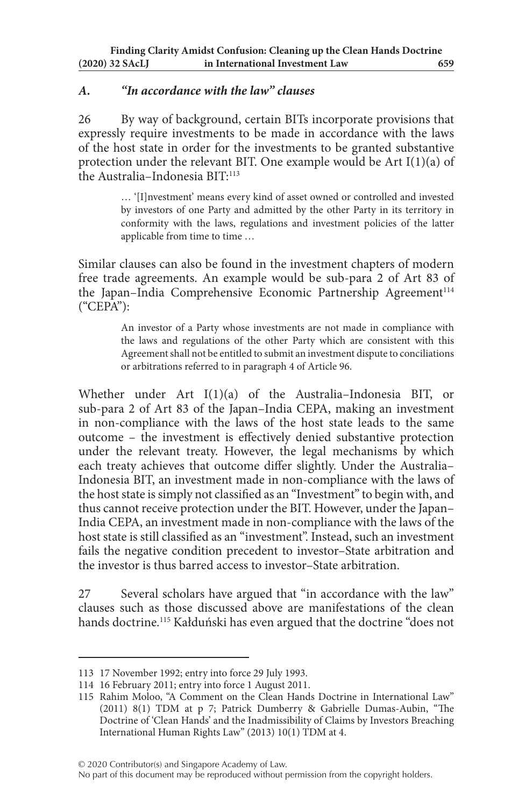### *A. "In accordance with the law" clauses*

26 By way of background, certain BITs incorporate provisions that expressly require investments to be made in accordance with the laws of the host state in order for the investments to be granted substantive protection under the relevant BIT. One example would be Art  $I(1)(a)$  of the Australia–Indonesia BIT:<sup>113</sup>

> … '[I]nvestment' means every kind of asset owned or controlled and invested by investors of one Party and admitted by the other Party in its territory in conformity with the laws, regulations and investment policies of the latter applicable from time to time …

Similar clauses can also be found in the investment chapters of modern free trade agreements. An example would be sub-para 2 of Art 83 of the Japan–India Comprehensive Economic Partnership Agreement<sup>114</sup> ("CEPA"):

> An investor of a Party whose investments are not made in compliance with the laws and regulations of the other Party which are consistent with this Agreement shall not be entitled to submit an investment dispute to conciliations or arbitrations referred to in paragraph 4 of Article 96.

Whether under Art I(1)(a) of the Australia–Indonesia BIT, or sub-para 2 of Art 83 of the Japan–India CEPA, making an investment in non-compliance with the laws of the host state leads to the same outcome – the investment is effectively denied substantive protection under the relevant treaty. However, the legal mechanisms by which each treaty achieves that outcome differ slightly. Under the Australia– Indonesia BIT, an investment made in non-compliance with the laws of the host state is simply not classified as an "Investment" to begin with, and thus cannot receive protection under the BIT. However, under the Japan– India CEPA, an investment made in non-compliance with the laws of the host state is still classified as an "investment". Instead, such an investment fails the negative condition precedent to investor–State arbitration and the investor is thus barred access to investor–State arbitration.

27 Several scholars have argued that "in accordance with the law" clauses such as those discussed above are manifestations of the clean hands doctrine.<sup>115</sup> Kałduński has even argued that the doctrine "does not

© 2020 Contributor(s) and Singapore Academy of Law.

No part of this document may be reproduced without permission from the copyright holders.

<sup>113</sup> 17 November 1992; entry into force 29 July 1993.

<sup>114</sup> 16 February 2011; entry into force 1 August 2011.

<sup>115</sup> Rahim Moloo, "A Comment on the Clean Hands Doctrine in International Law" (2011) 8(1) TDM at p 7; Patrick Dumberry & Gabrielle Dumas-Aubin, "The Doctrine of 'Clean Hands' and the Inadmissibility of Claims by Investors Breaching International Human Rights Law" (2013) 10(1) TDM at 4.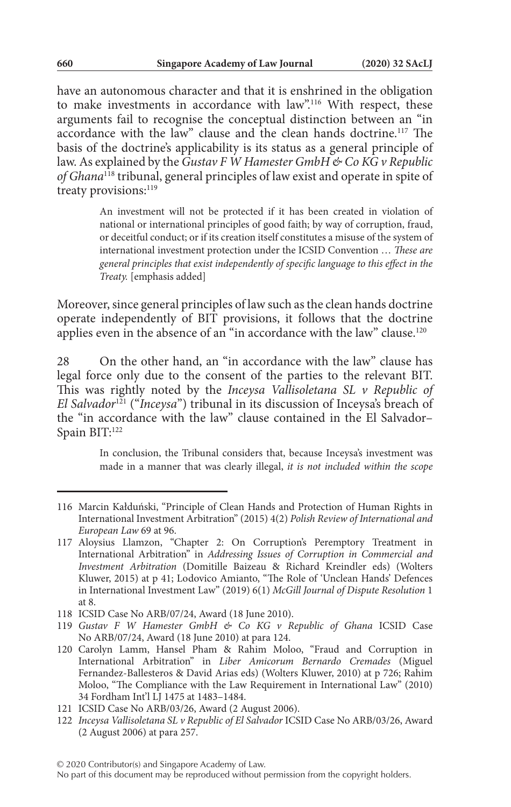have an autonomous character and that it is enshrined in the obligation to make investments in accordance with law".116 With respect, these arguments fail to recognise the conceptual distinction between an "in accordance with the law" clause and the clean hands doctrine.117 The basis of the doctrine's applicability is its status as a general principle of law. As explained by the *Gustav F W Hamester GmbH & Co KG v Republic of Ghana*118 tribunal, general principles of law exist and operate in spite of treaty provisions:<sup>119</sup>

> An investment will not be protected if it has been created in violation of national or international principles of good faith; by way of corruption, fraud, or deceitful conduct; or if its creation itself constitutes a misuse of the system of international investment protection under the ICSID Convention … *These are general principles that exist independently of specific language to this effect in the Treaty.* [emphasis added]

Moreover, since general principles of law such as the clean hands doctrine operate independently of BIT provisions, it follows that the doctrine applies even in the absence of an "in accordance with the law" clause.<sup>120</sup>

28 On the other hand, an "in accordance with the law" clause has legal force only due to the consent of the parties to the relevant BIT. This was rightly noted by the *Inceysa Vallisoletana SL v Republic of El Salvador*<sup>121</sup> ("*Inceysa*") tribunal in its discussion of Inceysa's breach of the "in accordance with the law" clause contained in the El Salvador– Spain BIT:122

> In conclusion, the Tribunal considers that, because Inceysa's investment was made in a manner that was clearly illegal, *it is not included within the scope*

<sup>116</sup> Marcin Kałduński, "Principle of Clean Hands and Protection of Human Rights in International Investment Arbitration" (2015) 4(2) *Polish Review of International and European Law* 69 at 96.

<sup>117</sup> Aloysius Llamzon, "Chapter 2: On Corruption's Peremptory Treatment in International Arbitration" in *Addressing Issues of Corruption in Commercial and Investment Arbitration* (Domitille Baizeau & Richard Kreindler eds) (Wolters Kluwer, 2015) at p 41; Lodovico Amianto, "The Role of 'Unclean Hands' Defences in International Investment Law" (2019) 6(1) *McGill Journal of Dispute Resolution* 1 at 8.

<sup>118</sup> ICSID Case No ARB/07/24, Award (18 June 2010).

<sup>119</sup> *Gustav F W Hamester GmbH & Co KG v Republic of Ghana* ICSID Case No ARB/07/24, Award (18 June 2010) at para 124.

<sup>120</sup> Carolyn Lamm, Hansel Pham & Rahim Moloo, "Fraud and Corruption in International Arbitration" in *Liber Amicorum Bernardo Cremades* (Miguel Fernandez-Ballesteros & David Arias eds) (Wolters Kluwer, 2010) at p 726; Rahim Moloo, "The Compliance with the Law Requirement in International Law" (2010) 34 Fordham Int'l LJ 1475 at 1483–1484.

<sup>121</sup> ICSID Case No ARB/03/26, Award (2 August 2006).

<sup>122</sup> *Inceysa Vallisoletana SL v Republic of El Salvador* ICSID Case No ARB/03/26, Award (2 August 2006) at para 257.

No part of this document may be reproduced without permission from the copyright holders.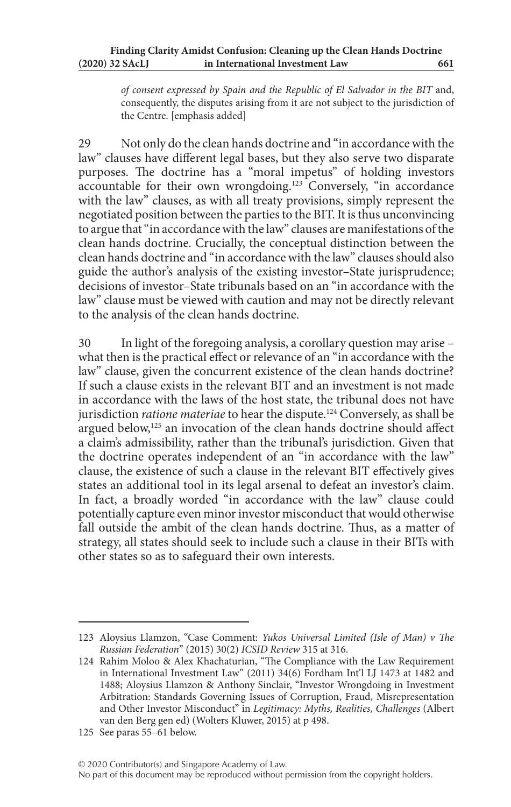*of consent expressed by Spain and the Republic of El Salvador in the BIT* and, consequently, the disputes arising from it are not subject to the jurisdiction of the Centre. [emphasis added]

29 Not only do the clean hands doctrine and "in accordance with the law" clauses have different legal bases, but they also serve two disparate purposes. The doctrine has a "moral impetus" of holding investors  $\frac{1}{2}$  accountable for their own wrongdoing.<sup>123</sup> Conversely, "in accordance with the law" clauses, as with all treaty provisions, simply represent the negotiated position between the parties to the BIT. It is thus unconvincing to argue that "in accordance with the law" clauses are manifestations of the clean hands doctrine. Crucially, the conceptual distinction between the clean hands doctrine and "in accordance with the law" clauses should also guide the author's analysis of the existing investor–State jurisprudence; decisions of investor–State tribunals based on an "in accordance with the law" clause must be viewed with caution and may not be directly relevant to the analysis of the clean hands doctrine.

30 In light of the foregoing analysis, a corollary question may arise – what then is the practical effect or relevance of an "in accordance with the law" clause, given the concurrent existence of the clean hands doctrine? If such a clause exists in the relevant BIT and an investment is not made in accordance with the laws of the host state, the tribunal does not have jurisdiction *ratione materiae* to hear the dispute.<sup>124</sup> Conversely, as shall be argued below,<sup>125</sup> an invocation of the clean hands doctrine should affect a claim's admissibility, rather than the tribunal's jurisdiction. Given that the doctrine operates independent of an "in accordance with the law" clause, the existence of such a clause in the relevant BIT effectively gives states an additional tool in its legal arsenal to defeat an investor's claim. In fact, a broadly worded "in accordance with the law" clause could potentially capture even minor investor misconduct that would otherwise fall outside the ambit of the clean hands doctrine. Thus, as a matter of strategy, all states should seek to include such a clause in their BITs with other states so as to safeguard their own interests.

#### © 2020 Contributor(s) and Singapore Academy of Law. No part of this document may be reproduced without permission from the copyright holders.

<sup>123</sup> Aloysius Llamzon, "Case Comment: *Yukos Universal Limited (Isle of Man) v The Russian Federation*" (2015) 30(2) *ICSID Review* 315 at 316.

<sup>124</sup> Rahim Moloo & Alex Khachaturian, "The Compliance with the Law Requirement in International Investment Law" (2011) 34(6) Fordham Int'l LJ 1473 at 1482 and 1488; Aloysius Llamzon & Anthony Sinclair, "Investor Wrongdoing in Investment Arbitration: Standards Governing Issues of Corruption, Fraud, Misrepresentation and Other Investor Misconduct" in *Legitimacy: Myths, Realities, Challenges* (Albert van den Berg gen ed) (Wolters Kluwer, 2015) at p 498.

<sup>125</sup> See paras 55–61 below.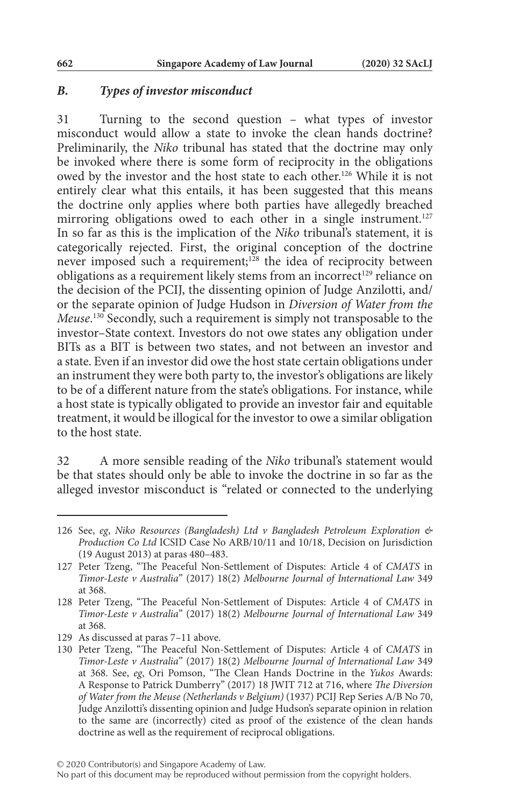#### *B. Types of investor misconduct*

31 Turning to the second question – what types of investor misconduct would allow a state to invoke the clean hands doctrine? Preliminarily, the *Niko* tribunal has stated that the doctrine may only be invoked where there is some form of reciprocity in the obligations owed by the investor and the host state to each other.126 While it is not entirely clear what this entails, it has been suggested that this means the doctrine only applies where both parties have allegedly breached mirroring obligations owed to each other in a single instrument.<sup>127</sup> In so far as this is the implication of the *Niko* tribunal's statement, it is categorically rejected. First, the original conception of the doctrine never imposed such a requirement;<sup>128</sup> the idea of reciprocity between obligations as a requirement likely stems from an incorrect<sup>129</sup> reliance on the decision of the PCIJ, the dissenting opinion of Judge Anzilotti, and/ or the separate opinion of Judge Hudson in *Diversion of Water from the Meuse*. 130 Secondly, such a requirement is simply not transposable to the investor–State context. Investors do not owe states any obligation under BITs as a BIT is between two states, and not between an investor and a state. Even if an investor did owe the host state certain obligations under an instrument they were both party to, the investor's obligations are likely to be of a different nature from the state's obligations. For instance, while a host state is typically obligated to provide an investor fair and equitable treatment, it would be illogical for the investor to owe a similar obligation to the host state.

32 A more sensible reading of the *Niko* tribunal's statement would be that states should only be able to invoke the doctrine in so far as the alleged investor misconduct is "related or connected to the underlying

No part of this document may be reproduced without permission from the copyright holders.

<sup>126</sup> See, *eg*, *Niko Resources (Bangladesh) Ltd v Bangladesh Petroleum Exploration & Production Co Ltd* ICSID Case No ARB/10/11 and 10/18, Decision on Jurisdiction (19 August 2013) at paras 480–483.

<sup>127</sup> Peter Tzeng, "The Peaceful Non-Settlement of Disputes: Article 4 of *CMATS* in *Timor-Leste v Australia*" (2017) 18(2) *Melbourne Journal of International Law* 349 at 368.

<sup>128</sup> Peter Tzeng, "The Peaceful Non-Settlement of Disputes: Article 4 of *CMATS* in *Timor-Leste v Australia*" (2017) 18(2) *Melbourne Journal of International Law* 349 at 368.

<sup>129</sup> As discussed at paras 7–11 above.

<sup>130</sup> Peter Tzeng, "The Peaceful Non-Settlement of Disputes: Article 4 of *CMATS* in *Timor-Leste v Australia*" (2017) 18(2) *Melbourne Journal of International Law* 349 at 368. See, *eg*, Ori Pomson, "The Clean Hands Doctrine in the *Yukos* Awards: A Response to Patrick Dumberry" (2017) 18 JWIT 712 at 716, where *The Diversion of Water from the Meuse (Netherlands v Belgium)* (1937) PCIJ Rep Series A/B No 70, Judge Anzilotti's dissenting opinion and Judge Hudson's separate opinion in relation to the same are (incorrectly) cited as proof of the existence of the clean hands doctrine as well as the requirement of reciprocal obligations.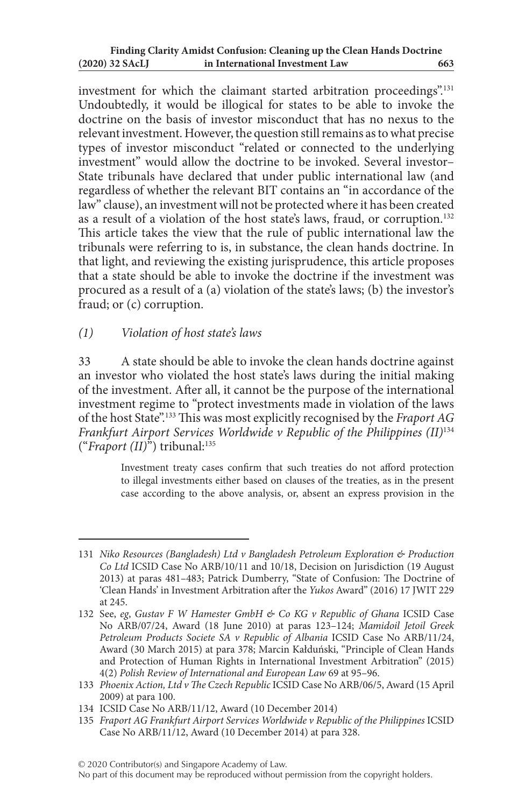investment for which the claimant started arbitration proceedings".131 Undoubtedly, it would be illogical for states to be able to invoke the doctrine on the basis of investor misconduct that has no nexus to the relevant investment. However, the question still remains as to what precise types of investor misconduct "related or connected to the underlying investment" would allow the doctrine to be invoked. Several investor– State tribunals have declared that under public international law (and regardless of whether the relevant BIT contains an "in accordance of the law" clause), an investment will not be protected where it has been created as a result of a violation of the host state's laws, fraud, or corruption.132 This article takes the view that the rule of public international law the tribunals were referring to is, in substance, the clean hands doctrine. In that light, and reviewing the existing jurisprudence, this article proposes that a state should be able to invoke the doctrine if the investment was procured as a result of a (a) violation of the state's laws; (b) the investor's fraud; or (c) corruption.

### *(1) Violation of host state's laws*

33 A state should be able to invoke the clean hands doctrine against an investor who violated the host state's laws during the initial making of the investment. After all, it cannot be the purpose of the international investment regime to "protect investments made in violation of the laws of the host State".133 This was most explicitly recognised by the *Fraport AG Frankfurt Airport Services Worldwide v Republic of the Philippines (II)*<sup>134</sup> ("*Fraport (II)*") tribunal:135

> Investment treaty cases confirm that such treaties do not afford protection to illegal investments either based on clauses of the treaties, as in the present case according to the above analysis, or, absent an express provision in the

<sup>131</sup> *Niko Resources (Bangladesh) Ltd v Bangladesh Petroleum Exploration & Production Co Ltd* ICSID Case No ARB/10/11 and 10/18, Decision on Jurisdiction (19 August 2013) at paras 481–483; Patrick Dumberry, "State of Confusion: The Doctrine of 'Clean Hands' in Investment Arbitration after the *Yukos* Award" (2016) 17 JWIT 229 at 245.

<sup>132</sup> See, *eg*, *Gustav F W Hamester GmbH & Co KG v Republic of Ghana* ICSID Case No ARB/07/24, Award (18 June 2010) at paras 123–124; *Mamidoil Jetoil Greek Petroleum Products Societe SA v Republic of Albania* ICSID Case No ARB/11/24, Award (30 March 2015) at para 378; Marcin Kałduński, "Principle of Clean Hands and Protection of Human Rights in International Investment Arbitration" (2015) 4(2) *Polish Review of International and European Law* 69 at 95–96.

<sup>133</sup> *Phoenix Action, Ltd v The Czech Republic* ICSID Case No ARB/06/5, Award (15 April 2009) at para 100.

<sup>134</sup> ICSID Case No ARB/11/12, Award (10 December 2014)

<sup>135</sup> *Fraport AG Frankfurt Airport Services Worldwide v Republic of the Philippines* ICSID Case No ARB/11/12, Award (10 December 2014) at para 328.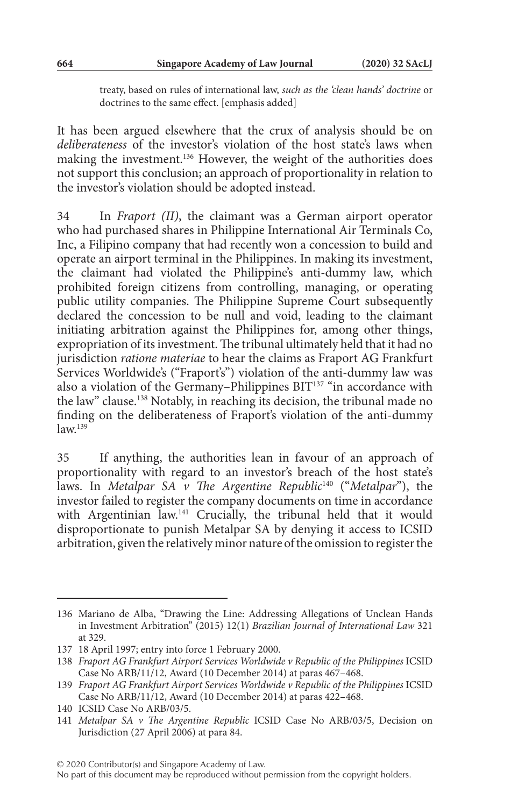treaty, based on rules of international law, *such as the 'clean hands' doctrine* or doctrines to the same effect. [emphasis added]

It has been argued elsewhere that the crux of analysis should be on *deliberateness* of the investor's violation of the host state's laws when making the investment.<sup>136</sup> However, the weight of the authorities does not support this conclusion; an approach of proportionality in relation to the investor's violation should be adopted instead.

34 In *Fraport (II)*, the claimant was a German airport operator who had purchased shares in Philippine International Air Terminals Co, Inc, a Filipino company that had recently won a concession to build and operate an airport terminal in the Philippines. In making its investment, the claimant had violated the Philippine's anti-dummy law, which prohibited foreign citizens from controlling, managing, or operating public utility companies. The Philippine Supreme Court subsequently declared the concession to be null and void, leading to the claimant initiating arbitration against the Philippines for, among other things, expropriation of its investment. The tribunal ultimately held that it had no jurisdiction *ratione materiae* to hear the claims as Fraport AG Frankfurt Services Worldwide's ("Fraport's") violation of the anti-dummy law was also a violation of the Germany-Philippines BIT<sup>137</sup> "in accordance with the law" clause.<sup>138</sup> Notably, in reaching its decision, the tribunal made no finding on the deliberateness of Fraport's violation of the anti-dummy  $law<sup>139</sup>$ 

35 If anything, the authorities lean in favour of an approach of proportionality with regard to an investor's breach of the host state's laws. In *Metalpar SA v The Argentine Republic*140 ("*Metalpar*"), the investor failed to register the company documents on time in accordance with Argentinian law.141 Crucially, the tribunal held that it would disproportionate to punish Metalpar SA by denying it access to ICSID arbitration, given the relatively minor nature of the omission to register the

<sup>136</sup> Mariano de Alba, "Drawing the Line: Addressing Allegations of Unclean Hands in Investment Arbitration" (2015) 12(1) *Brazilian Journal of International Law* 321 at 329.

<sup>137</sup> 18 April 1997; entry into force 1 February 2000.

<sup>138</sup> *Fraport AG Frankfurt Airport Services Worldwide v Republic of the Philippines* ICSID Case No ARB/11/12, Award (10 December 2014) at paras 467–468.

<sup>139</sup> *Fraport AG Frankfurt Airport Services Worldwide v Republic of the Philippines* ICSID Case No ARB/11/12, Award (10 December 2014) at paras 422–468.

<sup>140</sup> ICSID Case No ARB/03/5.

<sup>141</sup> *Metalpar SA v The Argentine Republic* ICSID Case No ARB/03/5, Decision on Jurisdiction (27 April 2006) at para 84.

No part of this document may be reproduced without permission from the copyright holders.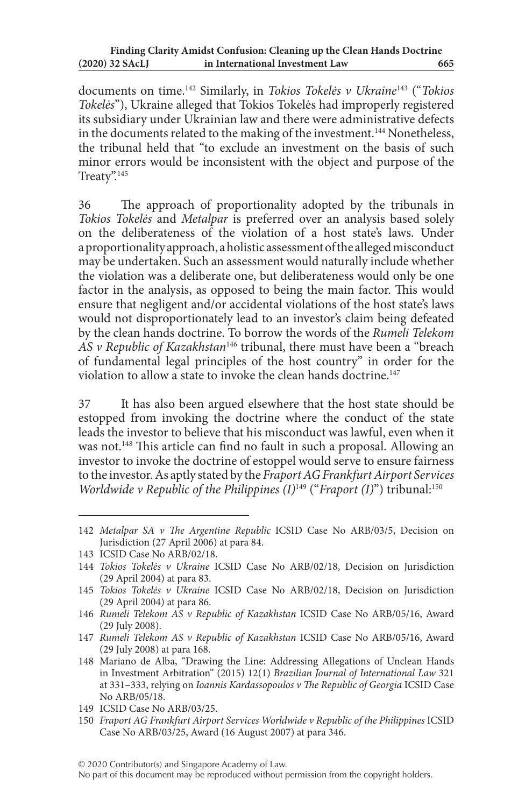documents on time.142 Similarly, in *Tokios Tokelės v Ukraine*143 ("*Tokios Tokelės*"), Ukraine alleged that Tokios Tokelės had improperly registered its subsidiary under Ukrainian law and there were administrative defects in the documents related to the making of the investment.<sup>144</sup> Nonetheless, the tribunal held that "to exclude an investment on the basis of such minor errors would be inconsistent with the object and purpose of the Treaty".<sup>145</sup>

36 The approach of proportionality adopted by the tribunals in *Tokios Tokelės* and *Metalpar* is preferred over an analysis based solely on the deliberateness of the violation of a host state's laws. Under a proportionality approach, a holistic assessment of the alleged misconduct may be undertaken. Such an assessment would naturally include whether the violation was a deliberate one, but deliberateness would only be one factor in the analysis, as opposed to being the main factor. This would ensure that negligent and/or accidental violations of the host state's laws would not disproportionately lead to an investor's claim being defeated by the clean hands doctrine. To borrow the words of the *Rumeli Telekom AS v Republic of Kazakhstan*146 tribunal, there must have been a "breach of fundamental legal principles of the host country" in order for the violation to allow a state to invoke the clean hands doctrine.<sup>147</sup>

37 It has also been argued elsewhere that the host state should be estopped from invoking the doctrine where the conduct of the state leads the investor to believe that his misconduct was lawful, even when it was not.148 This article can find no fault in such a proposal. Allowing an investor to invoke the doctrine of estoppel would serve to ensure fairness to the investor. As aptly stated by the *Fraport AG Frankfurt Airport Services Worldwide v Republic of the Philippines (I)*<sup>149</sup> ("*Fraport (I)*") tribunal:<sup>150</sup>

<sup>142</sup> *Metalpar SA v The Argentine Republic* ICSID Case No ARB/03/5, Decision on Jurisdiction (27 April 2006) at para 84.

<sup>143</sup> ICSID Case No ARB/02/18.

<sup>144</sup> *Tokios Tokelės v Ukraine* ICSID Case No ARB/02/18, Decision on Jurisdiction (29 April 2004) at para 83.

<sup>145</sup> *Tokios Tokelės v Ukraine* ICSID Case No ARB/02/18, Decision on Jurisdiction (29 April 2004) at para 86.

<sup>146</sup> *Rumeli Telekom AS v Republic of Kazakhstan* ICSID Case No ARB/05/16, Award (29 July 2008).

<sup>147</sup> *Rumeli Telekom AS v Republic of Kazakhstan* ICSID Case No ARB/05/16, Award (29 July 2008) at para 168.

<sup>148</sup> Mariano de Alba, "Drawing the Line: Addressing Allegations of Unclean Hands in Investment Arbitration" (2015) 12(1) *Brazilian Journal of International Law* 321 at 331–333, relying on *Ioannis Kardassopoulos v The Republic of Georgia* ICSID Case No ARB/05/18.

<sup>149</sup> ICSID Case No ARB/03/25.

<sup>150</sup> *Fraport AG Frankfurt Airport Services Worldwide v Republic of the Philippines* ICSID Case No ARB/03/25, Award (16 August 2007) at para 346.

No part of this document may be reproduced without permission from the copyright holders.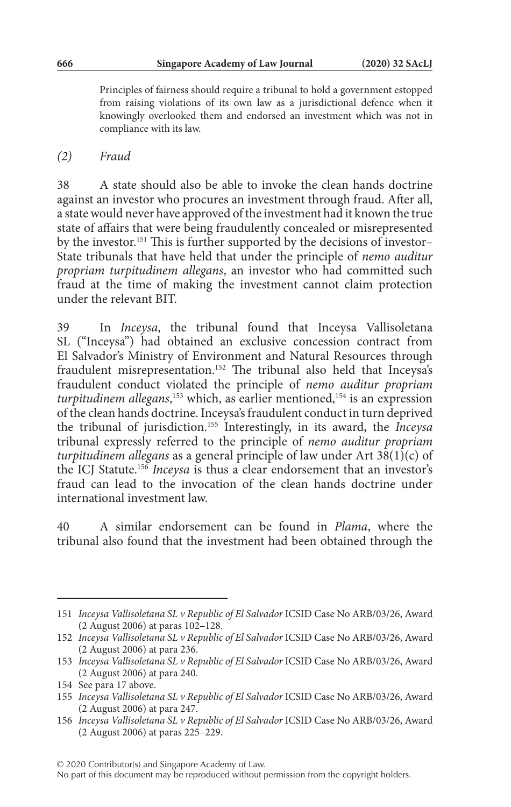Principles of fairness should require a tribunal to hold a government estopped from raising violations of its own law as a jurisdictional defence when it knowingly overlooked them and endorsed an investment which was not in compliance with its law.

#### *(2) Fraud*

38 A state should also be able to invoke the clean hands doctrine against an investor who procures an investment through fraud. After all, a state would never have approved of the investment had it known the true state of affairs that were being fraudulently concealed or misrepresented by the investor.<sup>151</sup> This is further supported by the decisions of investor-State tribunals that have held that under the principle of *nemo auditur propriam turpitudinem allegans*, an investor who had committed such fraud at the time of making the investment cannot claim protection under the relevant BIT.

39 In *Inceysa*, the tribunal found that Inceysa Vallisoletana SL ("Inceysa") had obtained an exclusive concession contract from El Salvador's Ministry of Environment and Natural Resources through fraudulent misrepresentation.152 The tribunal also held that Inceysa's fraudulent conduct violated the principle of *nemo auditur propriam*  turpitudinem allegans,<sup>153</sup> which, as earlier mentioned,<sup>154</sup> is an expression of the clean hands doctrine. Inceysa's fraudulent conduct in turn deprived the tribunal of jurisdiction.155 Interestingly, in its award, the *Inceysa* tribunal expressly referred to the principle of *nemo auditur propriam turpitudinem allegans* as a general principle of law under Art 38(1)(c) of the ICJ Statute.156 *Inceysa* is thus a clear endorsement that an investor's fraud can lead to the invocation of the clean hands doctrine under international investment law.

40 A similar endorsement can be found in *Plama*, where the tribunal also found that the investment had been obtained through the

<sup>151</sup> *Inceysa Vallisoletana SL v Republic of El Salvador* ICSID Case No ARB/03/26, Award (2 August 2006) at paras 102–128.

<sup>152</sup> *Inceysa Vallisoletana SL v Republic of El Salvador* ICSID Case No ARB/03/26, Award (2 August 2006) at para 236.

<sup>153</sup> *Inceysa Vallisoletana SL v Republic of El Salvador* ICSID Case No ARB/03/26, Award (2 August 2006) at para 240.

<sup>154</sup> See para 17 above.

<sup>155</sup> *Inceysa Vallisoletana SL v Republic of El Salvador* ICSID Case No ARB/03/26, Award (2 August 2006) at para 247.

<sup>156</sup> *Inceysa Vallisoletana SL v Republic of El Salvador* ICSID Case No ARB/03/26, Award (2 August 2006) at paras 225–229.

<sup>© 2020</sup> Contributor(s) and Singapore Academy of Law.

No part of this document may be reproduced without permission from the copyright holders.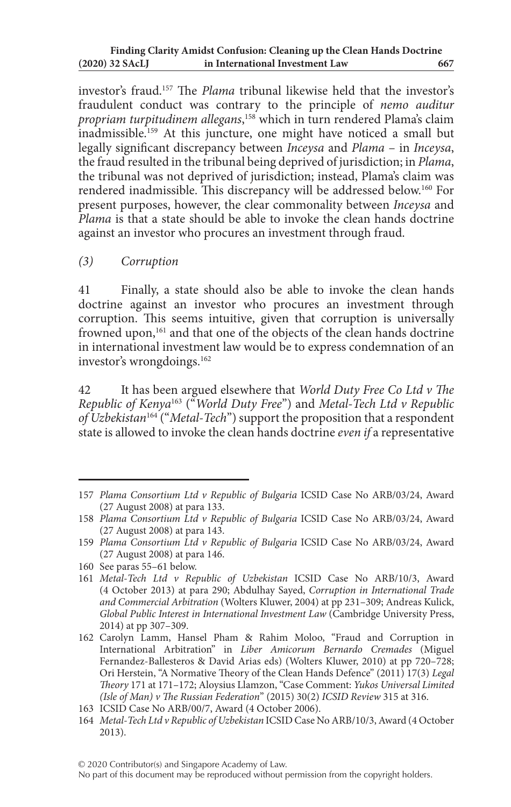investor's fraud.157 The *Plama* tribunal likewise held that the investor's fraudulent conduct was contrary to the principle of *nemo auditur propriam turpitudinem allegans*, 158 which in turn rendered Plama's claim inadmissible.159 At this juncture, one might have noticed a small but legally significant discrepancy between *Inceysa* and *Plama* – in *Inceysa*, the fraud resulted in the tribunal being deprived of jurisdiction; in *Plama*, the tribunal was not deprived of jurisdiction; instead, Plama's claim was rendered inadmissible. This discrepancy will be addressed below.160 For present purposes, however, the clear commonality between *Inceysa* and *Plama* is that a state should be able to invoke the clean hands doctrine against an investor who procures an investment through fraud.

*(3) Corruption*

41 Finally, a state should also be able to invoke the clean hands doctrine against an investor who procures an investment through corruption. This seems intuitive, given that corruption is universally frowned upon,<sup>161</sup> and that one of the objects of the clean hands doctrine in international investment law would be to express condemnation of an investor's wrongdoings.<sup>162</sup>

42 It has been argued elsewhere that *World Duty Free Co Ltd v The Republic of Kenya*163 ("*World Duty Free*") and *Metal-Tech Ltd v Republic of Uzbekistan*164 ("*Metal-Tech*") support the proposition that a respondent state is allowed to invoke the clean hands doctrine *even if* a representative

<sup>157</sup> *Plama Consortium Ltd v Republic of Bulgaria* ICSID Case No ARB/03/24, Award (27 August 2008) at para 133.

<sup>158</sup> *Plama Consortium Ltd v Republic of Bulgaria* ICSID Case No ARB/03/24, Award (27 August 2008) at para 143.

<sup>159</sup> *Plama Consortium Ltd v Republic of Bulgaria* ICSID Case No ARB/03/24, Award (27 August 2008) at para 146.

<sup>160</sup> See paras 55–61 below.

<sup>161</sup> *Metal-Tech Ltd v Republic of Uzbekistan* ICSID Case No ARB/10/3, Award (4 October 2013) at para 290; Abdulhay Sayed, *Corruption in International Trade and Commercial Arbitration* (Wolters Kluwer, 2004) at pp 231–309; Andreas Kulick, *Global Public Interest in International Investment Law* (Cambridge University Press, 2014) at pp 307–309.

<sup>162</sup> Carolyn Lamm, Hansel Pham & Rahim Moloo, "Fraud and Corruption in International Arbitration" in *Liber Amicorum Bernardo Cremades* (Miguel Fernandez-Ballesteros & David Arias eds) (Wolters Kluwer, 2010) at pp 720–728; Ori Herstein, "A Normative Theory of the Clean Hands Defence" (2011) 17(3) *Legal Theory* 171 at 171–172; Aloysius Llamzon, "Case Comment: *Yukos Universal Limited (Isle of Man) v The Russian Federation*" (2015) 30(2) *ICSID Review* 315 at 316.

<sup>163</sup> ICSID Case No ARB/00/7, Award (4 October 2006).

<sup>164</sup> *Metal-Tech Ltd v Republic of Uzbekistan* ICSID Case No ARB/10/3, Award (4 October 2013).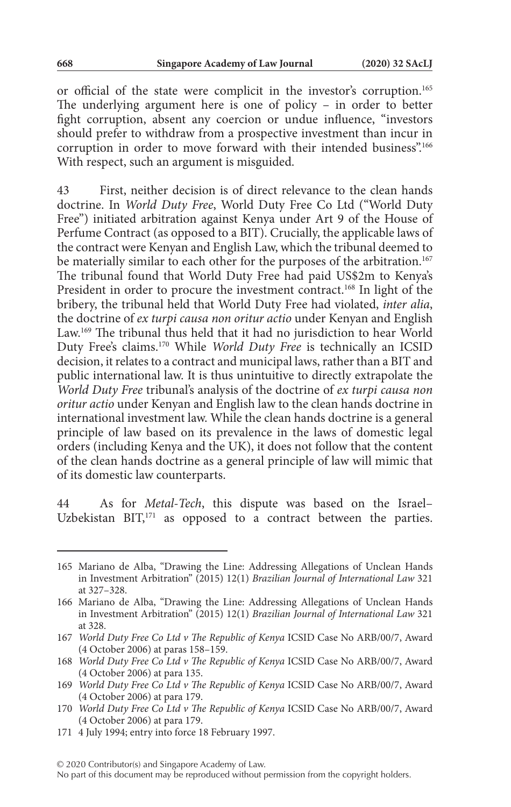or official of the state were complicit in the investor's corruption.165 The underlying argument here is one of policy – in order to better fight corruption, absent any coercion or undue influence, "investors should prefer to withdraw from a prospective investment than incur in corruption in order to move forward with their intended business".<sup>166</sup> With respect, such an argument is misguided.

43 First, neither decision is of direct relevance to the clean hands doctrine. In *World Duty Free*, World Duty Free Co Ltd ("World Duty Free") initiated arbitration against Kenya under Art 9 of the House of Perfume Contract (as opposed to a BIT). Crucially, the applicable laws of the contract were Kenyan and English Law, which the tribunal deemed to be materially similar to each other for the purposes of the arbitration.<sup>167</sup> The tribunal found that World Duty Free had paid US\$2m to Kenya's President in order to procure the investment contract.<sup>168</sup> In light of the bribery, the tribunal held that World Duty Free had violated, *inter alia*, the doctrine of *ex turpi causa non oritur actio* under Kenyan and English Law.169 The tribunal thus held that it had no jurisdiction to hear World Duty Free's claims.170 While *World Duty Free* is technically an ICSID decision, it relates to a contract and municipal laws, rather than a BIT and public international law. It is thus unintuitive to directly extrapolate the *World Duty Free* tribunal's analysis of the doctrine of *ex turpi causa non oritur actio* under Kenyan and English law to the clean hands doctrine in international investment law. While the clean hands doctrine is a general principle of law based on its prevalence in the laws of domestic legal orders (including Kenya and the UK), it does not follow that the content of the clean hands doctrine as a general principle of law will mimic that of its domestic law counterparts.

44 As for *Metal-Tech*, this dispute was based on the Israel– Uzbekistan BIT, $^{171}$  as opposed to a contract between the parties.

<sup>165</sup> Mariano de Alba, "Drawing the Line: Addressing Allegations of Unclean Hands in Investment Arbitration" (2015) 12(1) *Brazilian Journal of International Law* 321 at 327–328.

<sup>166</sup> Mariano de Alba, "Drawing the Line: Addressing Allegations of Unclean Hands in Investment Arbitration" (2015) 12(1) *Brazilian Journal of International Law* 321 at 328.

<sup>167</sup> *World Duty Free Co Ltd v The Republic of Kenya* ICSID Case No ARB/00/7, Award (4 October 2006) at paras 158–159.

<sup>168</sup> *World Duty Free Co Ltd v The Republic of Kenya* ICSID Case No ARB/00/7, Award (4 October 2006) at para 135.

<sup>169</sup> *World Duty Free Co Ltd v The Republic of Kenya* ICSID Case No ARB/00/7, Award (4 October 2006) at para 179.

<sup>170</sup> *World Duty Free Co Ltd v The Republic of Kenya* ICSID Case No ARB/00/7, Award (4 October 2006) at para 179.

<sup>171</sup> 4 July 1994; entry into force 18 February 1997.

No part of this document may be reproduced without permission from the copyright holders.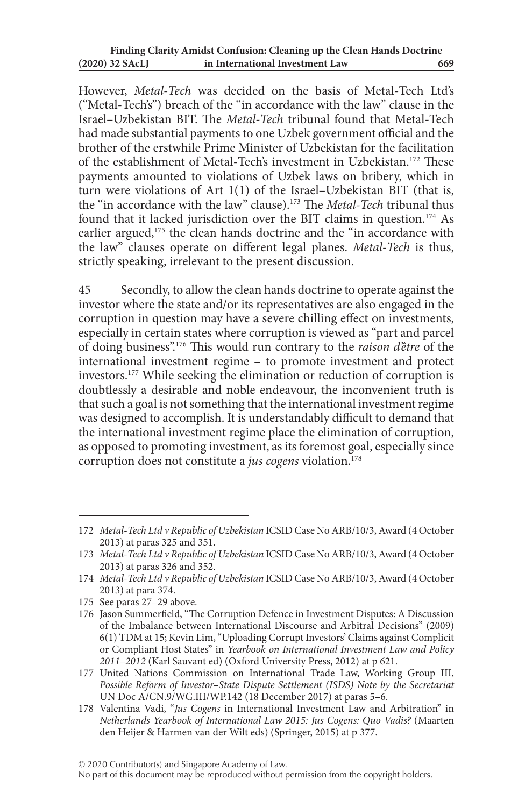#### **Finding Clarity Amidst Confusion: Cleaning up the Clean Hands Doctrine (2020) 32 SAcLJ in International Investment Law 6 (2020) 32 SAcLJ in International Investment Law 669**

However, *Metal-Tech* was decided on the basis of Metal-Tech Ltd's ("Metal-Tech's") breach of the "in accordance with the law" clause in the Israel–Uzbekistan BIT. The *Metal-Tech* tribunal found that Metal-Tech had made substantial payments to one Uzbek government official and the brother of the erstwhile Prime Minister of Uzbekistan for the facilitation of the establishment of Metal-Tech's investment in Uzbekistan.172 These payments amounted to violations of Uzbek laws on bribery, which in turn were violations of Art 1(1) of the Israel–Uzbekistan BIT (that is, the "in accordance with the law" clause).173 The *Metal-Tech* tribunal thus found that it lacked jurisdiction over the BIT claims in question.174 As earlier argued, $175$  the clean hands doctrine and the "in accordance with the law" clauses operate on different legal planes. *Metal-Tech* is thus, strictly speaking, irrelevant to the present discussion.

45 Secondly, to allow the clean hands doctrine to operate against the investor where the state and/or its representatives are also engaged in the corruption in question may have a severe chilling effect on investments, especially in certain states where corruption is viewed as "part and parcel of doing business".176 This would run contrary to the *raison d'être* of the international investment regime – to promote investment and protect investors.177 While seeking the elimination or reduction of corruption is doubtlessly a desirable and noble endeavour, the inconvenient truth is that such a goal is not something that the international investment regime was designed to accomplish. It is understandably difficult to demand that the international investment regime place the elimination of corruption, as opposed to promoting investment, as its foremost goal, especially since corruption does not constitute a *jus cogens* violation.<sup>178</sup>

<sup>172</sup> *Metal-Tech Ltd v Republic of Uzbekistan* ICSID Case No ARB/10/3, Award (4 October 2013) at paras 325 and 351.

<sup>173</sup> *Metal-Tech Ltd v Republic of Uzbekistan* ICSID Case No ARB/10/3, Award (4 October 2013) at paras 326 and 352.

<sup>174</sup> *Metal-Tech Ltd v Republic of Uzbekistan* ICSID Case No ARB/10/3, Award (4 October 2013) at para 374.

<sup>175</sup> See paras 27–29 above.

<sup>176</sup> Jason Summerfield, "The Corruption Defence in Investment Disputes: A Discussion of the Imbalance between International Discourse and Arbitral Decisions" (2009) 6(1) TDM at 15; Kevin Lim, "Uploading Corrupt Investors' Claims against Complicit or Compliant Host States" in *Yearbook on International Investment Law and Policy 2011–2012* (Karl Sauvant ed) (Oxford University Press, 2012) at p 621.

<sup>177</sup> United Nations Commission on International Trade Law, Working Group III, *Possible Reform of Investor–State Dispute Settlement (ISDS) Note by the Secretariat* UN Doc A/CN.9/WG.III/WP.142 (18 December 2017) at paras 5–6.

<sup>178</sup> Valentina Vadi, "*Jus Cogens* in International Investment Law and Arbitration" in *Netherlands Yearbook of International Law 2015: Jus Cogens: Quo Vadis?* (Maarten den Heijer & Harmen van der Wilt eds) (Springer, 2015) at p 377.

No part of this document may be reproduced without permission from the copyright holders.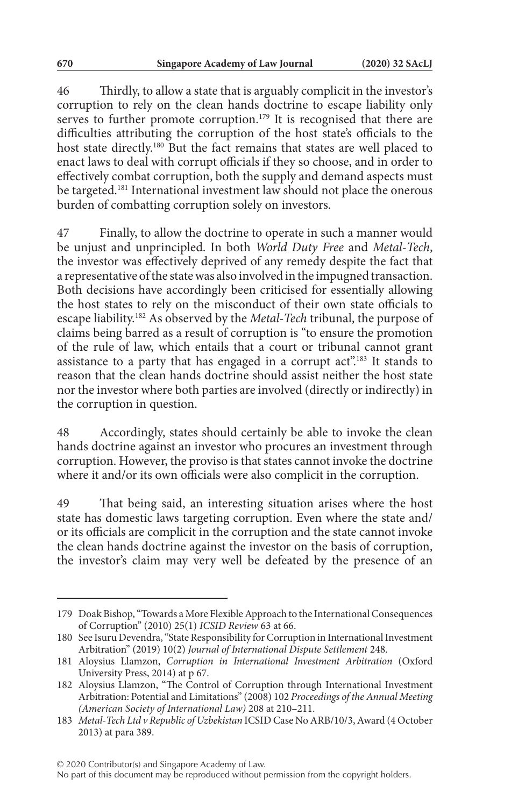46 Thirdly, to allow a state that is arguably complicit in the investor's corruption to rely on the clean hands doctrine to escape liability only serves to further promote corruption.<sup>179</sup> It is recognised that there are difficulties attributing the corruption of the host state's officials to the host state directly.180 But the fact remains that states are well placed to enact laws to deal with corrupt officials if they so choose, and in order to effectively combat corruption, both the supply and demand aspects must be targeted.<sup>181</sup> International investment law should not place the onerous burden of combatting corruption solely on investors.

47 Finally, to allow the doctrine to operate in such a manner would be unjust and unprincipled. In both *World Duty Free* and *Metal-Tech*, the investor was effectively deprived of any remedy despite the fact that a representative of the state was also involved in the impugned transaction. Both decisions have accordingly been criticised for essentially allowing the host states to rely on the misconduct of their own state officials to escape liability.182 As observed by the *Metal-Tech* tribunal, the purpose of claims being barred as a result of corruption is "to ensure the promotion of the rule of law, which entails that a court or tribunal cannot grant assistance to a party that has engaged in a corrupt act".183 It stands to reason that the clean hands doctrine should assist neither the host state nor the investor where both parties are involved (directly or indirectly) in the corruption in question.

48 Accordingly, states should certainly be able to invoke the clean hands doctrine against an investor who procures an investment through corruption. However, the proviso is that states cannot invoke the doctrine where it and/or its own officials were also complicit in the corruption.

49 That being said, an interesting situation arises where the host state has domestic laws targeting corruption. Even where the state and/ or its officials are complicit in the corruption and the state cannot invoke the clean hands doctrine against the investor on the basis of corruption, the investor's claim may very well be defeated by the presence of an

<sup>179</sup> Doak Bishop, "Towards a More Flexible Approach to the International Consequences of Corruption" (2010) 25(1) *ICSID Review* 63 at 66.

<sup>180</sup> See Isuru Devendra, "State Responsibility for Corruption in International Investment Arbitration" (2019) 10(2) *Journal of International Dispute Settlement* 248.

<sup>181</sup> Aloysius Llamzon, *Corruption in International Investment Arbitration* (Oxford University Press, 2014) at p 67.

<sup>182</sup> Aloysius Llamzon, "The Control of Corruption through International Investment Arbitration: Potential and Limitations" (2008) 102 *Proceedings of the Annual Meeting (American Society of International Law)* 208 at 210–211.

<sup>183</sup> *Metal-Tech Ltd v Republic of Uzbekistan* ICSID Case No ARB/10/3, Award (4 October 2013) at para 389.

No part of this document may be reproduced without permission from the copyright holders.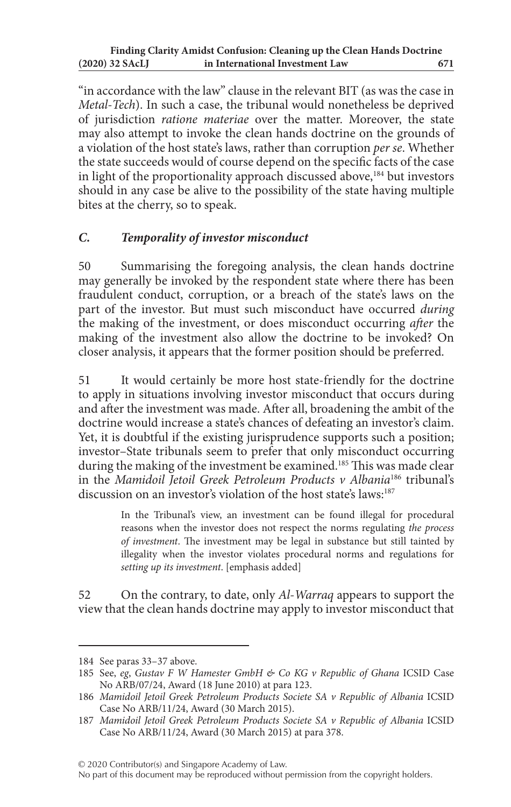"in accordance with the law" clause in the relevant BIT (as was the case in *Metal-Tech*). In such a case, the tribunal would nonetheless be deprived of jurisdiction *ratione materiae* over the matter. Moreover, the state may also attempt to invoke the clean hands doctrine on the grounds of a violation of the host state's laws, rather than corruption *per se*. Whether the state succeeds would of course depend on the specific facts of the case in light of the proportionality approach discussed above,<sup>184</sup> but investors should in any case be alive to the possibility of the state having multiple bites at the cherry, so to speak.

### *C. Temporality of investor misconduct*

50 Summarising the foregoing analysis, the clean hands doctrine may generally be invoked by the respondent state where there has been fraudulent conduct, corruption, or a breach of the state's laws on the part of the investor. But must such misconduct have occurred *during* the making of the investment, or does misconduct occurring *after* the making of the investment also allow the doctrine to be invoked? On closer analysis, it appears that the former position should be preferred.

51 It would certainly be more host state-friendly for the doctrine to apply in situations involving investor misconduct that occurs during and after the investment was made. After all, broadening the ambit of the doctrine would increase a state's chances of defeating an investor's claim. Yet, it is doubtful if the existing jurisprudence supports such a position; investor–State tribunals seem to prefer that only misconduct occurring during the making of the investment be examined.<sup>185</sup> This was made clear in the *Mamidoil Jetoil Greek Petroleum Products v Albania*186 tribunal's discussion on an investor's violation of the host state's laws:<sup>187</sup>

> In the Tribunal's view, an investment can be found illegal for procedural reasons when the investor does not respect the norms regulating *the process of investment*. The investment may be legal in substance but still tainted by illegality when the investor violates procedural norms and regulations for *setting up its investment*. [emphasis added]

52 On the contrary, to date, only *Al-Warraq* appears to support the view that the clean hands doctrine may apply to investor misconduct that

© 2020 Contributor(s) and Singapore Academy of Law.

<sup>184</sup> See paras 33–37 above.

<sup>185</sup> See, *eg*, *Gustav F W Hamester GmbH & Co KG v Republic of Ghana* ICSID Case No ARB/07/24, Award (18 June 2010) at para 123.

<sup>186</sup> *Mamidoil Jetoil Greek Petroleum Products Societe SA v Republic of Albania* ICSID Case No ARB/11/24, Award (30 March 2015).

<sup>187</sup> *Mamidoil Jetoil Greek Petroleum Products Societe SA v Republic of Albania* ICSID Case No ARB/11/24, Award (30 March 2015) at para 378.

No part of this document may be reproduced without permission from the copyright holders.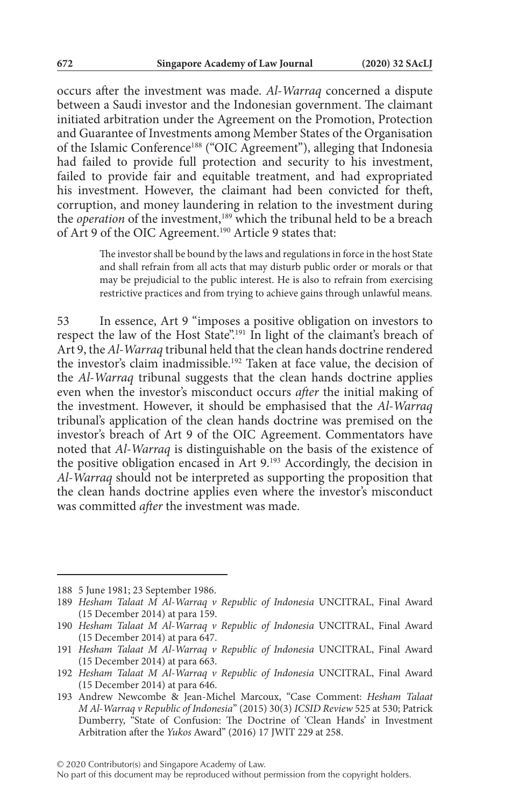occurs after the investment was made. *Al-Warraq* concerned a dispute between a Saudi investor and the Indonesian government. The claimant initiated arbitration under the Agreement on the Promotion, Protection and Guarantee of Investments among Member States of the Organisation of the Islamic Conference188 ("OIC Agreement"), alleging that Indonesia had failed to provide full protection and security to his investment, failed to provide fair and equitable treatment, and had expropriated his investment. However, the claimant had been convicted for theft, corruption, and money laundering in relation to the investment during the *operation* of the investment,<sup>189</sup> which the tribunal held to be a breach of Art 9 of the OIC Agreement.<sup>190</sup> Article 9 states that:

> The investor shall be bound by the laws and regulations in force in the host State and shall refrain from all acts that may disturb public order or morals or that may be prejudicial to the public interest. He is also to refrain from exercising restrictive practices and from trying to achieve gains through unlawful means.

53 In essence, Art 9 "imposes a positive obligation on investors to respect the law of the Host State".<sup>191</sup> In light of the claimant's breach of Art 9, the *Al-Warraq* tribunal held that the clean hands doctrine rendered the investor's claim inadmissible.192 Taken at face value, the decision of the *Al-Warraq* tribunal suggests that the clean hands doctrine applies even when the investor's misconduct occurs *after* the initial making of the investment. However, it should be emphasised that the *Al-Warraq* tribunal's application of the clean hands doctrine was premised on the investor's breach of Art 9 of the OIC Agreement. Commentators have noted that *Al-Warraq* is distinguishable on the basis of the existence of the positive obligation encased in Art 9.<sup>193</sup> Accordingly, the decision in *Al-Warraq* should not be interpreted as supporting the proposition that the clean hands doctrine applies even where the investor's misconduct was committed *after* the investment was made.

<sup>188</sup> 5 June 1981; 23 September 1986.

<sup>189</sup> *Hesham Talaat M Al-Warraq v Republic of Indonesia* UNCITRAL, Final Award (15 December 2014) at para 159.

<sup>190</sup> *Hesham Talaat M Al-Warraq v Republic of Indonesia* UNCITRAL, Final Award (15 December 2014) at para 647.

<sup>191</sup> *Hesham Talaat M Al-Warraq v Republic of Indonesia* UNCITRAL, Final Award (15 December 2014) at para 663.

<sup>192</sup> *Hesham Talaat M Al-Warraq v Republic of Indonesia* UNCITRAL, Final Award (15 December 2014) at para 646.

<sup>193</sup> Andrew Newcombe & Jean-Michel Marcoux, "Case Comment: *Hesham Talaat M Al-Warraq v Republic of Indonesia*" (2015) 30(3) *ICSID Review* 525 at 530; Patrick Dumberry, "State of Confusion: The Doctrine of 'Clean Hands' in Investment Arbitration after the *Yukos* Award" (2016) 17 JWIT 229 at 258.

<sup>© 2020</sup> Contributor(s) and Singapore Academy of Law.

No part of this document may be reproduced without permission from the copyright holders.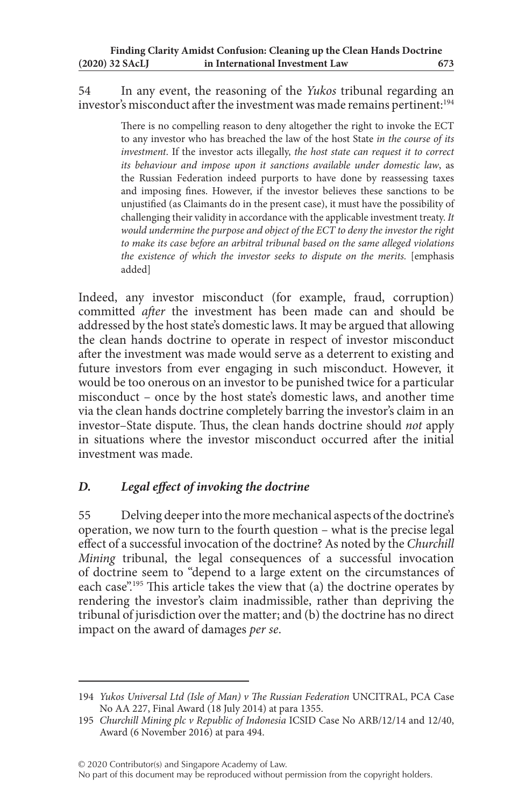54 In any event, the reasoning of the *Yukos* tribunal regarding an investor's misconduct after the investment was made remains pertinent:<sup>194</sup>

> There is no compelling reason to deny altogether the right to invoke the ECT to any investor who has breached the law of the host State *in the course of its investment*. If the investor acts illegally, *the host state can request it to correct its behaviour and impose upon it sanctions available under domestic law*, as the Russian Federation indeed purports to have done by reassessing taxes and imposing fines. However, if the investor believes these sanctions to be unjustified (as Claimants do in the present case), it must have the possibility of challenging their validity in accordance with the applicable investment treaty. *It would undermine the purpose and object of the ECT to deny the investor the right to make its case before an arbitral tribunal based on the same alleged violations the existence of which the investor seeks to dispute on the merits.* [emphasis added]

Indeed, any investor misconduct (for example, fraud, corruption) committed *after* the investment has been made can and should be addressed by the host state's domestic laws. It may be argued that allowing the clean hands doctrine to operate in respect of investor misconduct after the investment was made would serve as a deterrent to existing and future investors from ever engaging in such misconduct. However, it would be too onerous on an investor to be punished twice for a particular misconduct – once by the host state's domestic laws, and another time via the clean hands doctrine completely barring the investor's claim in an investor–State dispute. Thus, the clean hands doctrine should *not* apply in situations where the investor misconduct occurred after the initial investment was made.

## *D. Legal effect of invoking the doctrine*

55 Delving deeper into the more mechanical aspects of the doctrine's operation, we now turn to the fourth question – what is the precise legal effect of a successful invocation of the doctrine? As noted by the *Churchill Mining* tribunal, the legal consequences of a successful invocation of doctrine seem to "depend to a large extent on the circumstances of each case".195 This article takes the view that (a) the doctrine operates by rendering the investor's claim inadmissible, rather than depriving the tribunal of jurisdiction over the matter; and (b) the doctrine has no direct impact on the award of damages *per se*.

© 2020 Contributor(s) and Singapore Academy of Law.

No part of this document may be reproduced without permission from the copyright holders.

<sup>194</sup> *Yukos Universal Ltd (Isle of Man) v The Russian Federation* UNCITRAL, PCA Case No AA 227, Final Award (18 July 2014) at para 1355.

<sup>195</sup> *Churchill Mining plc v Republic of Indonesia* ICSID Case No ARB/12/14 and 12/40, Award (6 November 2016) at para 494.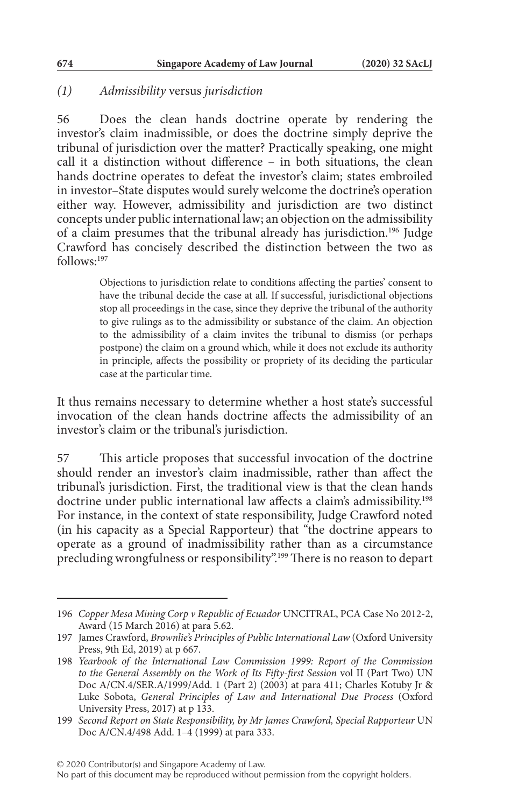### *(1) Admissibility* versus *jurisdiction*

56 Does the clean hands doctrine operate by rendering the investor's claim inadmissible, or does the doctrine simply deprive the tribunal of jurisdiction over the matter? Practically speaking, one might call it a distinction without difference – in both situations, the clean hands doctrine operates to defeat the investor's claim; states embroiled in investor–State disputes would surely welcome the doctrine's operation either way. However, admissibility and jurisdiction are two distinct concepts under public international law; an objection on the admissibility of a claim presumes that the tribunal already has jurisdiction.196 Judge Crawford has concisely described the distinction between the two as follows:197

> Objections to jurisdiction relate to conditions affecting the parties' consent to have the tribunal decide the case at all. If successful, jurisdictional objections stop all proceedings in the case, since they deprive the tribunal of the authority to give rulings as to the admissibility or substance of the claim. An objection to the admissibility of a claim invites the tribunal to dismiss (or perhaps postpone) the claim on a ground which, while it does not exclude its authority in principle, affects the possibility or propriety of its deciding the particular case at the particular time.

It thus remains necessary to determine whether a host state's successful invocation of the clean hands doctrine affects the admissibility of an investor's claim or the tribunal's jurisdiction.

57 This article proposes that successful invocation of the doctrine should render an investor's claim inadmissible, rather than affect the tribunal's jurisdiction. First, the traditional view is that the clean hands doctrine under public international law affects a claim's admissibility.<sup>198</sup> For instance, in the context of state responsibility, Judge Crawford noted (in his capacity as a Special Rapporteur) that "the doctrine appears to operate as a ground of inadmissibility rather than as a circumstance precluding wrongfulness or responsibility".199 There is no reason to depart

#### © 2020 Contributor(s) and Singapore Academy of Law.

<sup>196</sup> *Copper Mesa Mining Corp v Republic of Ecuador* UNCITRAL, PCA Case No 2012-2, Award (15 March 2016) at para 5.62.

<sup>197</sup> James Crawford, *Brownlie's Principles of Public International Law* (Oxford University Press, 9th Ed, 2019) at p 667.

<sup>198</sup> *Yearbook of the International Law Commission 1999: Report of the Commission to the General Assembly on the Work of Its Fifty-first Session* vol II (Part Two) UN Doc A/CN.4/SER.A/1999/Add. 1 (Part 2) (2003) at para 411; Charles Kotuby Jr & Luke Sobota, *General Principles of Law and International Due Process* (Oxford University Press, 2017) at p 133.

<sup>199</sup> *Second Report on State Responsibility, by Mr James Crawford, Special Rapporteur* UN Doc A/CN.4/498 Add. 1–4 (1999) at para 333.

No part of this document may be reproduced without permission from the copyright holders.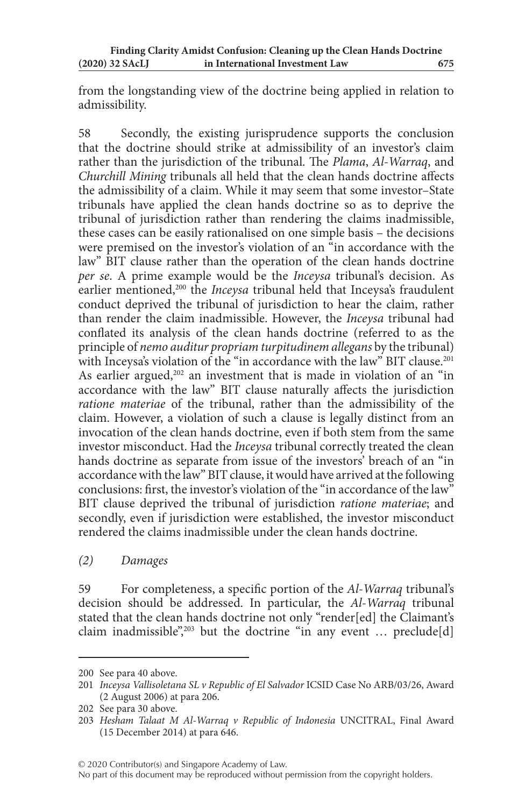from the longstanding view of the doctrine being applied in relation to admissibility.

58 Secondly, the existing jurisprudence supports the conclusion that the doctrine should strike at admissibility of an investor's claim rather than the jurisdiction of the tribunal. The *Plama*, *Al-Warraq*, and *Churchill Mining* tribunals all held that the clean hands doctrine affects the admissibility of a claim. While it may seem that some investor–State tribunals have applied the clean hands doctrine so as to deprive the tribunal of jurisdiction rather than rendering the claims inadmissible, these cases can be easily rationalised on one simple basis – the decisions were premised on the investor's violation of an "in accordance with the law" BIT clause rather than the operation of the clean hands doctrine *per se*. A prime example would be the *Inceysa* tribunal's decision. As earlier mentioned,<sup>200</sup> the *Inceysa* tribunal held that Inceysa's fraudulent conduct deprived the tribunal of jurisdiction to hear the claim, rather than render the claim inadmissible. However, the *Inceysa* tribunal had conflated its analysis of the clean hands doctrine (referred to as the principle of *nemo auditur propriam turpitudinem allegans* by the tribunal) with Inceysa's violation of the "in accordance with the law" BIT clause.<sup>201</sup> As earlier argued,<sup>202</sup> an investment that is made in violation of an "in accordance with the law" BIT clause naturally affects the jurisdiction *ratione materiae* of the tribunal, rather than the admissibility of the claim. However, a violation of such a clause is legally distinct from an invocation of the clean hands doctrine, even if both stem from the same investor misconduct. Had the *Inceysa* tribunal correctly treated the clean hands doctrine as separate from issue of the investors' breach of an "in accordance with the law" BIT clause, it would have arrived at the following conclusions: first, the investor's violation of the "in accordance of the law" BIT clause deprived the tribunal of jurisdiction *ratione materiae*; and secondly, even if jurisdiction were established, the investor misconduct rendered the claims inadmissible under the clean hands doctrine.

*(2) Damages*

59 For completeness, a specific portion of the *Al-Warraq* tribunal's decision should be addressed. In particular, the *Al-Warraq* tribunal stated that the clean hands doctrine not only "render[ed] the Claimant's claim inadmissible",<sup>203</sup> but the doctrine "in any event ... preclude[d]

© 2020 Contributor(s) and Singapore Academy of Law.

No part of this document may be reproduced without permission from the copyright holders.

<sup>200</sup> See para 40 above.

<sup>201</sup> *Inceysa Vallisoletana SL v Republic of El Salvador* ICSID Case No ARB/03/26, Award (2 August 2006) at para 206.

<sup>202</sup> See para 30 above.

<sup>203</sup> *Hesham Talaat M Al-Warraq v Republic of Indonesia* UNCITRAL, Final Award (15 December 2014) at para 646.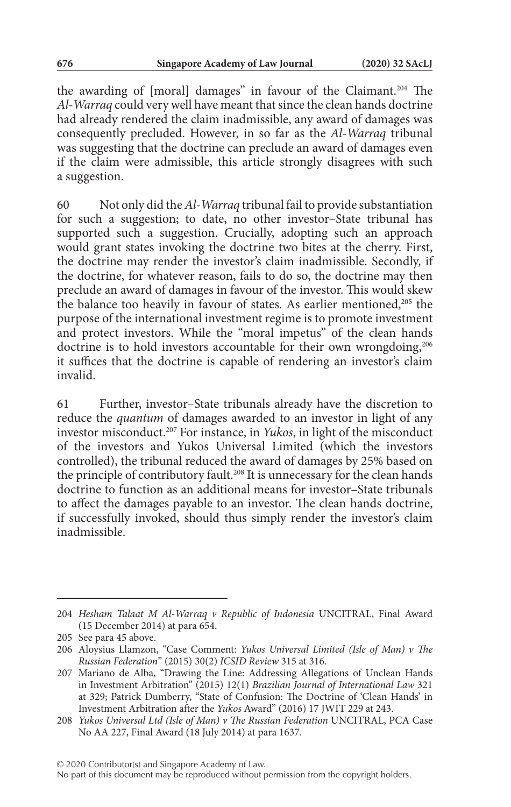the awarding of [moral] damages" in favour of the Claimant.204 The *Al-Warraq* could very well have meant that since the clean hands doctrine had already rendered the claim inadmissible, any award of damages was consequently precluded. However, in so far as the *Al-Warraq* tribunal was suggesting that the doctrine can preclude an award of damages even if the claim were admissible, this article strongly disagrees with such a suggestion.

60 Not only did the *Al-Warraq* tribunal fail to provide substantiation for such a suggestion; to date, no other investor–State tribunal has supported such a suggestion. Crucially, adopting such an approach would grant states invoking the doctrine two bites at the cherry. First, the doctrine may render the investor's claim inadmissible. Secondly, if the doctrine, for whatever reason, fails to do so, the doctrine may then preclude an award of damages in favour of the investor. This would skew the balance too heavily in favour of states. As earlier mentioned,<sup>205</sup> the purpose of the international investment regime is to promote investment and protect investors. While the "moral impetus" of the clean hands doctrine is to hold investors accountable for their own wrongdoing, $206$ it suffices that the doctrine is capable of rendering an investor's claim invalid.

61 Further, investor–State tribunals already have the discretion to reduce the *quantum* of damages awarded to an investor in light of any investor misconduct.207 For instance, in *Yukos*, in light of the misconduct of the investors and Yukos Universal Limited (which the investors controlled), the tribunal reduced the award of damages by 25% based on the principle of contributory fault.<sup>208</sup> It is unnecessary for the clean hands doctrine to function as an additional means for investor–State tribunals to affect the damages payable to an investor. The clean hands doctrine, if successfully invoked, should thus simply render the investor's claim inadmissible.

© 2020 Contributor(s) and Singapore Academy of Law.

<sup>204</sup> *Hesham Talaat M Al-Warraq v Republic of Indonesia* UNCITRAL, Final Award (15 December 2014) at para 654.

<sup>205</sup> See para 45 above.

<sup>206</sup> Aloysius Llamzon, "Case Comment: *Yukos Universal Limited (Isle of Man) v The Russian Federation*" (2015) 30(2) *ICSID Review* 315 at 316.

<sup>207</sup> Mariano de Alba, "Drawing the Line: Addressing Allegations of Unclean Hands in Investment Arbitration" (2015) 12(1) *Brazilian Journal of International Law* 321 at 329; Patrick Dumberry, "State of Confusion: The Doctrine of 'Clean Hands' in Investment Arbitration after the *Yukos* Award" (2016) 17 JWIT 229 at 243.

<sup>208</sup> *Yukos Universal Ltd (Isle of Man) v The Russian Federation* UNCITRAL, PCA Case No AA 227, Final Award (18 July 2014) at para 1637.

No part of this document may be reproduced without permission from the copyright holders.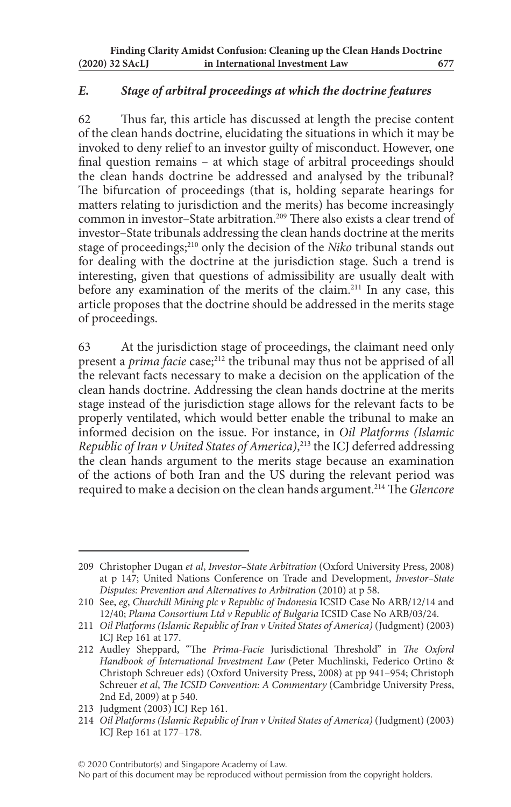### *E. Stage of arbitral proceedings at which the doctrine features*

62 Thus far, this article has discussed at length the precise content of the clean hands doctrine, elucidating the situations in which it may be invoked to deny relief to an investor guilty of misconduct. However, one final question remains – at which stage of arbitral proceedings should the clean hands doctrine be addressed and analysed by the tribunal? The bifurcation of proceedings (that is, holding separate hearings for matters relating to jurisdiction and the merits) has become increasingly common in investor–State arbitration.<sup>209</sup> There also exists a clear trend of investor–State tribunals addressing the clean hands doctrine at the merits stage of proceedings;<sup>210</sup> only the decision of the *Niko* tribunal stands out for dealing with the doctrine at the jurisdiction stage. Such a trend is interesting, given that questions of admissibility are usually dealt with before any examination of the merits of the claim.211 In any case, this article proposes that the doctrine should be addressed in the merits stage of proceedings.

63 At the jurisdiction stage of proceedings, the claimant need only present a *prima facie* case;<sup>212</sup> the tribunal may thus not be apprised of all the relevant facts necessary to make a decision on the application of the clean hands doctrine. Addressing the clean hands doctrine at the merits stage instead of the jurisdiction stage allows for the relevant facts to be properly ventilated, which would better enable the tribunal to make an informed decision on the issue. For instance, in *Oil Platforms (Islamic Republic of Iran v United States of America)*, 213 the ICJ deferred addressing the clean hands argument to the merits stage because an examination of the actions of both Iran and the US during the relevant period was required to make a decision on the clean hands argument.214 The *Glencore* 

#### © 2020 Contributor(s) and Singapore Academy of Law.

<sup>209</sup> Christopher Dugan *et al*, *Investor–State Arbitration* (Oxford University Press, 2008) at p 147; United Nations Conference on Trade and Development, *Investor–State Disputes: Prevention and Alternatives to Arbitration* (2010) at p 58.

<sup>210</sup> See, *eg*, *Churchill Mining plc v Republic of Indonesia* ICSID Case No ARB/12/14 and 12/40; *Plama Consortium Ltd v Republic of Bulgaria* ICSID Case No ARB/03/24.

<sup>211</sup> *Oil Platforms (Islamic Republic of Iran v United States of America)* (Judgment) (2003) ICJ Rep 161 at 177.

<sup>212</sup> Audley Sheppard, "The *Prima-Facie* Jurisdictional Threshold" in *The Oxford Handbook of International Investment Law* (Peter Muchlinski, Federico Ortino & Christoph Schreuer eds) (Oxford University Press, 2008) at pp 941–954; Christoph Schreuer *et al*, *The ICSID Convention: A Commentary* (Cambridge University Press, 2nd Ed, 2009) at p 540.

<sup>213</sup> Judgment (2003) ICJ Rep 161.

<sup>214</sup> *Oil Platforms (Islamic Republic of Iran v United States of America)* (Judgment) (2003) ICJ Rep 161 at 177–178.

No part of this document may be reproduced without permission from the copyright holders.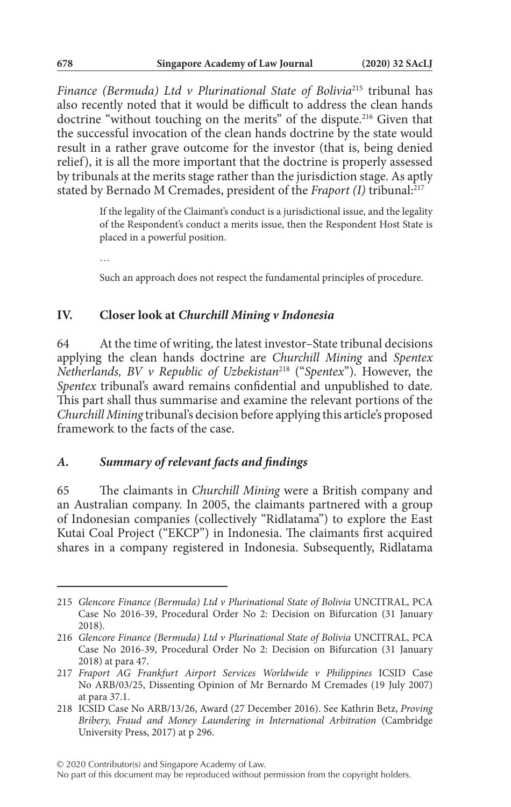*Finance (Bermuda) Ltd v Plurinational State of Bolivia*215 tribunal has also recently noted that it would be difficult to address the clean hands doctrine "without touching on the merits" of the dispute.216 Given that the successful invocation of the clean hands doctrine by the state would result in a rather grave outcome for the investor (that is, being denied relief), it is all the more important that the doctrine is properly assessed by tribunals at the merits stage rather than the jurisdiction stage. As aptly stated by Bernado M Cremades, president of the *Fraport (I)* tribunal:<sup>217</sup>

> If the legality of the Claimant's conduct is a jurisdictional issue, and the legality of the Respondent's conduct a merits issue, then the Respondent Host State is placed in a powerful position.

…

Such an approach does not respect the fundamental principles of procedure.

### **IV. Closer look at** *Churchill Mining v Indonesia*

64 At the time of writing, the latest investor–State tribunal decisions applying the clean hands doctrine are *Churchill Mining* and *Spentex Netherlands, BV v Republic of Uzbekistan*218 ("*Spentex*"). However, the *Spentex* tribunal's award remains confidential and unpublished to date. This part shall thus summarise and examine the relevant portions of the *Churchill Mining* tribunal's decision before applying this article's proposed framework to the facts of the case.

#### *A. Summary of relevant facts and findings*

65 The claimants in *Churchill Mining* were a British company and an Australian company. In 2005, the claimants partnered with a group of Indonesian companies (collectively "Ridlatama") to explore the East Kutai Coal Project ("EKCP") in Indonesia. The claimants first acquired shares in a company registered in Indonesia. Subsequently, Ridlatama

<sup>215</sup> *Glencore Finance (Bermuda) Ltd v Plurinational State of Bolivia* UNCITRAL, PCA Case No 2016-39, Procedural Order No 2: Decision on Bifurcation (31 January 2018).

<sup>216</sup> *Glencore Finance (Bermuda) Ltd v Plurinational State of Bolivia* UNCITRAL, PCA Case No 2016-39, Procedural Order No 2: Decision on Bifurcation (31 January 2018) at para 47.

<sup>217</sup> *Fraport AG Frankfurt Airport Services Worldwide v Philippines* ICSID Case No ARB/03/25, Dissenting Opinion of Mr Bernardo M Cremades (19 July 2007) at para 37.1.

<sup>218</sup> ICSID Case No ARB/13/26, Award (27 December 2016). See Kathrin Betz, *Proving Bribery, Fraud and Money Laundering in International Arbitration* (Cambridge University Press, 2017) at p 296.

<sup>© 2020</sup> Contributor(s) and Singapore Academy of Law.

No part of this document may be reproduced without permission from the copyright holders.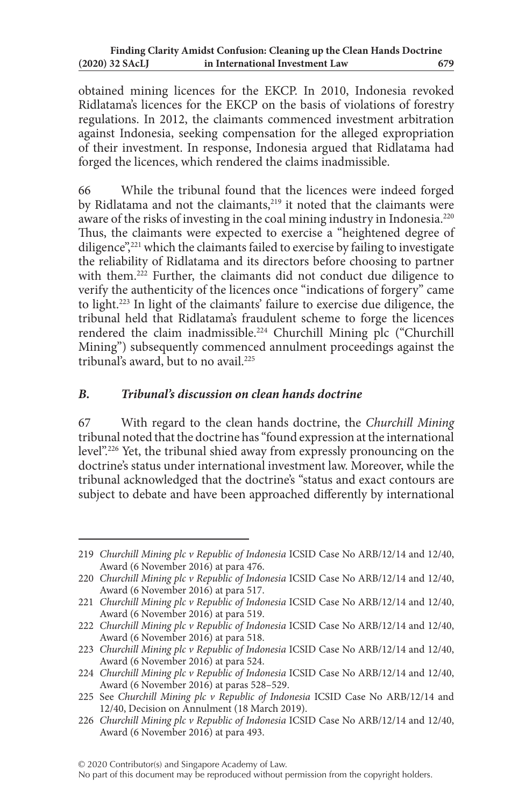obtained mining licences for the EKCP. In 2010, Indonesia revoked Ridlatama's licences for the EKCP on the basis of violations of forestry regulations. In 2012, the claimants commenced investment arbitration against Indonesia, seeking compensation for the alleged expropriation of their investment. In response, Indonesia argued that Ridlatama had forged the licences, which rendered the claims inadmissible.

66 While the tribunal found that the licences were indeed forged by Ridlatama and not the claimants,<sup>219</sup> it noted that the claimants were aware of the risks of investing in the coal mining industry in Indonesia.<sup>220</sup> Thus, the claimants were expected to exercise a "heightened degree of diligence",221 which the claimants failed to exercise by failing to investigate the reliability of Ridlatama and its directors before choosing to partner with them.<sup>222</sup> Further, the claimants did not conduct due diligence to verify the authenticity of the licences once "indications of forgery" came to light.<sup>223</sup> In light of the claimants' failure to exercise due diligence, the tribunal held that Ridlatama's fraudulent scheme to forge the licences rendered the claim inadmissible.<sup>224</sup> Churchill Mining plc ("Churchill Mining") subsequently commenced annulment proceedings against the tribunal's award, but to no avail. $225$ 

### *B. Tribunal's discussion on clean hands doctrine*

67 With regard to the clean hands doctrine, the *Churchill Mining* tribunal noted that the doctrine has "found expression at the international level".226 Yet, the tribunal shied away from expressly pronouncing on the doctrine's status under international investment law. Moreover, while the tribunal acknowledged that the doctrine's "status and exact contours are subject to debate and have been approached differently by international

<sup>219</sup> *Churchill Mining plc v Republic of Indonesia* ICSID Case No ARB/12/14 and 12/40, Award (6 November 2016) at para 476.

<sup>220</sup> *Churchill Mining plc v Republic of Indonesia* ICSID Case No ARB/12/14 and 12/40, Award (6 November 2016) at para 517.

<sup>221</sup> *Churchill Mining plc v Republic of Indonesia* ICSID Case No ARB/12/14 and 12/40, Award (6 November 2016) at para 519.

<sup>222</sup> *Churchill Mining plc v Republic of Indonesia* ICSID Case No ARB/12/14 and 12/40, Award (6 November 2016) at para 518.

<sup>223</sup> *Churchill Mining plc v Republic of Indonesia* ICSID Case No ARB/12/14 and 12/40, Award (6 November 2016) at para 524.

<sup>224</sup> *Churchill Mining plc v Republic of Indonesia* ICSID Case No ARB/12/14 and 12/40, Award (6 November 2016) at paras 528–529.

<sup>225</sup> See *Churchill Mining plc v Republic of Indonesia* ICSID Case No ARB/12/14 and 12/40, Decision on Annulment (18 March 2019).

<sup>226</sup> *Churchill Mining plc v Republic of Indonesia* ICSID Case No ARB/12/14 and 12/40, Award (6 November 2016) at para 493.

No part of this document may be reproduced without permission from the copyright holders.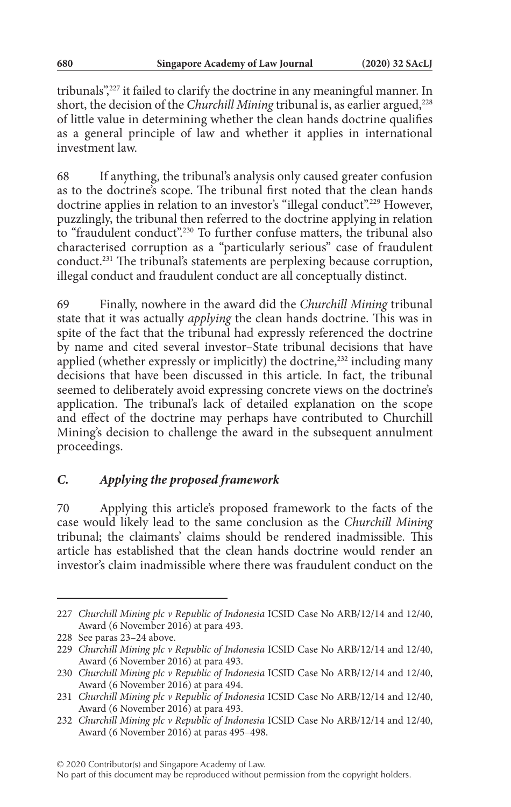tribunals",227 it failed to clarify the doctrine in any meaningful manner. In short, the decision of the *Churchill Mining* tribunal is, as earlier argued,<sup>228</sup> of little value in determining whether the clean hands doctrine qualifies as a general principle of law and whether it applies in international investment law.

68 If anything, the tribunal's analysis only caused greater confusion as to the doctrine's scope. The tribunal first noted that the clean hands doctrine applies in relation to an investor's "illegal conduct".<sup>229</sup> However, puzzlingly, the tribunal then referred to the doctrine applying in relation to "fraudulent conduct".<sup>230</sup> To further confuse matters, the tribunal also characterised corruption as a "particularly serious" case of fraudulent conduct.231 The tribunal's statements are perplexing because corruption, illegal conduct and fraudulent conduct are all conceptually distinct.

69 Finally, nowhere in the award did the *Churchill Mining* tribunal state that it was actually *applying* the clean hands doctrine. This was in spite of the fact that the tribunal had expressly referenced the doctrine by name and cited several investor–State tribunal decisions that have applied (whether expressly or implicitly) the doctrine, $232$  including many decisions that have been discussed in this article. In fact, the tribunal seemed to deliberately avoid expressing concrete views on the doctrine's application. The tribunal's lack of detailed explanation on the scope and effect of the doctrine may perhaps have contributed to Churchill Mining's decision to challenge the award in the subsequent annulment proceedings.

## *C. Applying the proposed framework*

70 Applying this article's proposed framework to the facts of the case would likely lead to the same conclusion as the *Churchill Mining* tribunal; the claimants' claims should be rendered inadmissible. This article has established that the clean hands doctrine would render an investor's claim inadmissible where there was fraudulent conduct on the

<sup>227</sup> *Churchill Mining plc v Republic of Indonesia* ICSID Case No ARB/12/14 and 12/40, Award (6 November 2016) at para 493.

<sup>228</sup> See paras 23–24 above.

<sup>229</sup> *Churchill Mining plc v Republic of Indonesia* ICSID Case No ARB/12/14 and 12/40, Award (6 November 2016) at para 493.

<sup>230</sup> *Churchill Mining plc v Republic of Indonesia* ICSID Case No ARB/12/14 and 12/40, Award (6 November 2016) at para 494.

<sup>231</sup> *Churchill Mining plc v Republic of Indonesia* ICSID Case No ARB/12/14 and 12/40, Award (6 November 2016) at para 493.

<sup>232</sup> *Churchill Mining plc v Republic of Indonesia* ICSID Case No ARB/12/14 and 12/40, Award (6 November 2016) at paras 495–498.

No part of this document may be reproduced without permission from the copyright holders.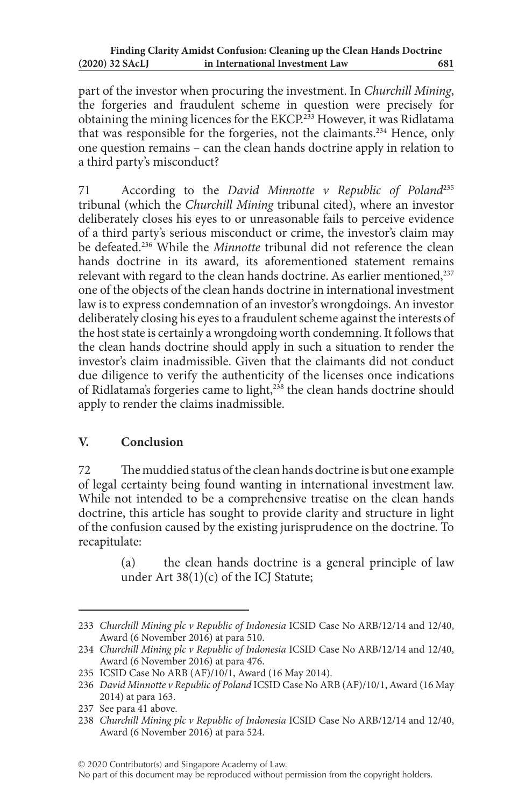part of the investor when procuring the investment. In *Churchill Mining*, the forgeries and fraudulent scheme in question were precisely for obtaining the mining licences for the EKCP.233 However, it was Ridlatama that was responsible for the forgeries, not the claimants.234 Hence, only one question remains – can the clean hands doctrine apply in relation to a third party's misconduct?

71 According to the *David Minnotte v Republic of Poland*<sup>235</sup> tribunal (which the *Churchill Mining* tribunal cited), where an investor deliberately closes his eyes to or unreasonable fails to perceive evidence of a third party's serious misconduct or crime, the investor's claim may be defeated.236 While the *Minnotte* tribunal did not reference the clean hands doctrine in its award, its aforementioned statement remains relevant with regard to the clean hands doctrine. As earlier mentioned,<sup>237</sup> one of the objects of the clean hands doctrine in international investment law is to express condemnation of an investor's wrongdoings. An investor deliberately closing his eyes to a fraudulent scheme against the interests of the host state is certainly a wrongdoing worth condemning. It follows that the clean hands doctrine should apply in such a situation to render the investor's claim inadmissible. Given that the claimants did not conduct due diligence to verify the authenticity of the licenses once indications of Ridlatama's forgeries came to light,<sup>238</sup> the clean hands doctrine should apply to render the claims inadmissible.

## **V. Conclusion**

72 The muddied status of the clean hands doctrine is but one example of legal certainty being found wanting in international investment law. While not intended to be a comprehensive treatise on the clean hands doctrine, this article has sought to provide clarity and structure in light of the confusion caused by the existing jurisprudence on the doctrine. To recapitulate:

> (a) the clean hands doctrine is a general principle of law under Art  $38(1)(c)$  of the ICJ Statute;

© 2020 Contributor(s) and Singapore Academy of Law.

<sup>233</sup> *Churchill Mining plc v Republic of Indonesia* ICSID Case No ARB/12/14 and 12/40, Award (6 November 2016) at para 510.

<sup>234</sup> *Churchill Mining plc v Republic of Indonesia* ICSID Case No ARB/12/14 and 12/40, Award (6 November 2016) at para 476.

<sup>235</sup> ICSID Case No ARB (AF)/10/1, Award (16 May 2014).

<sup>236</sup> *David Minnotte v Republic of Poland* ICSID Case No ARB (AF)/10/1, Award (16 May 2014) at para 163.

<sup>237</sup> See para 41 above.

<sup>238</sup> *Churchill Mining plc v Republic of Indonesia* ICSID Case No ARB/12/14 and 12/40, Award (6 November 2016) at para 524.

No part of this document may be reproduced without permission from the copyright holders.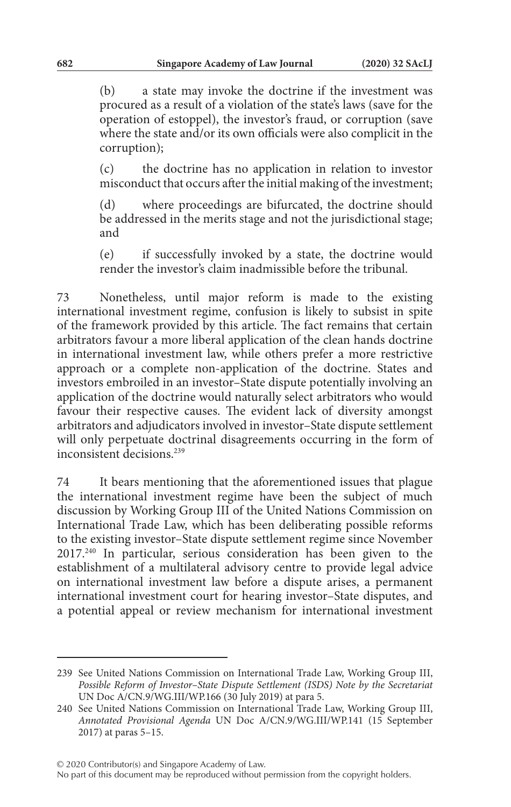(b) a state may invoke the doctrine if the investment was procured as a result of a violation of the state's laws (save for the operation of estoppel), the investor's fraud, or corruption (save where the state and/or its own officials were also complicit in the corruption);

(c) the doctrine has no application in relation to investor misconduct that occurs after the initial making of the investment;

(d) where proceedings are bifurcated, the doctrine should be addressed in the merits stage and not the jurisdictional stage; and

(e) if successfully invoked by a state, the doctrine would render the investor's claim inadmissible before the tribunal.

73 Nonetheless, until major reform is made to the existing international investment regime, confusion is likely to subsist in spite of the framework provided by this article. The fact remains that certain arbitrators favour a more liberal application of the clean hands doctrine in international investment law, while others prefer a more restrictive approach or a complete non-application of the doctrine. States and investors embroiled in an investor–State dispute potentially involving an application of the doctrine would naturally select arbitrators who would favour their respective causes. The evident lack of diversity amongst arbitrators and adjudicators involved in investor–State dispute settlement will only perpetuate doctrinal disagreements occurring in the form of inconsistent decisions<sup>239</sup>

74 It bears mentioning that the aforementioned issues that plague the international investment regime have been the subject of much discussion by Working Group III of the United Nations Commission on International Trade Law, which has been deliberating possible reforms to the existing investor–State dispute settlement regime since November 2017.240 In particular, serious consideration has been given to the establishment of a multilateral advisory centre to provide legal advice on international investment law before a dispute arises, a permanent international investment court for hearing investor–State disputes, and a potential appeal or review mechanism for international investment

<sup>239</sup> See United Nations Commission on International Trade Law, Working Group III, *Possible Reform of Investor–State Dispute Settlement (ISDS) Note by the Secretariat* UN Doc A/CN.9/WG.III/WP.166 (30 July 2019) at para 5.

<sup>240</sup> See United Nations Commission on International Trade Law, Working Group III, *Annotated Provisional Agenda* UN Doc A/CN.9/WG.III/WP.141 (15 September 2017) at paras 5–15.

No part of this document may be reproduced without permission from the copyright holders.